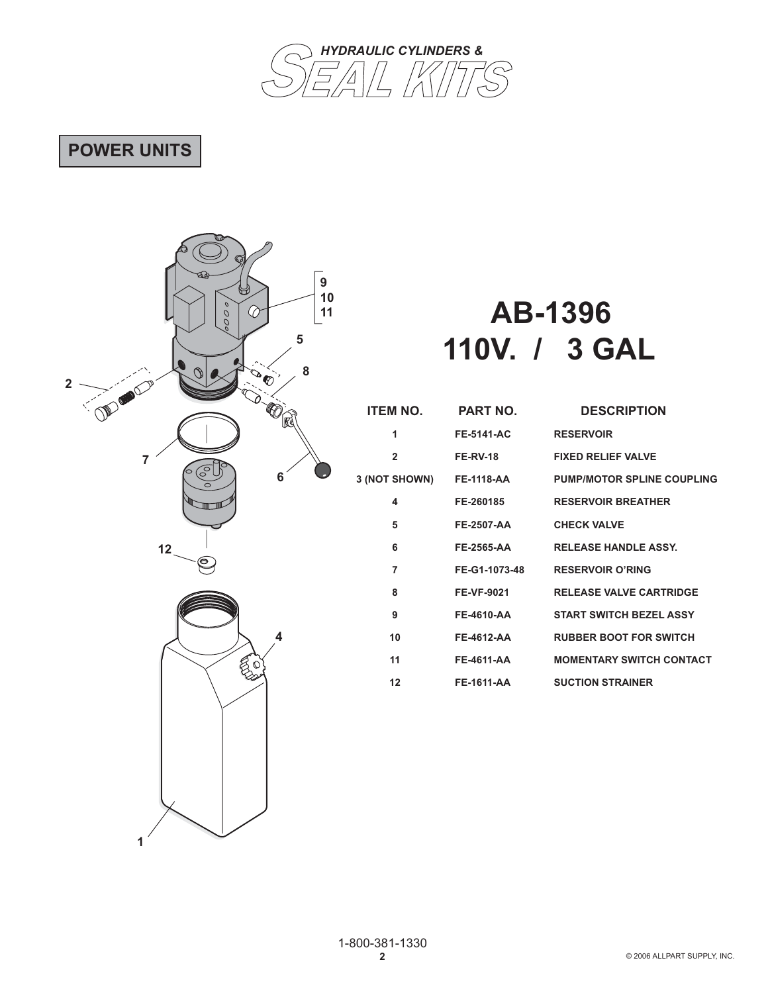

# **POWER UNITS**

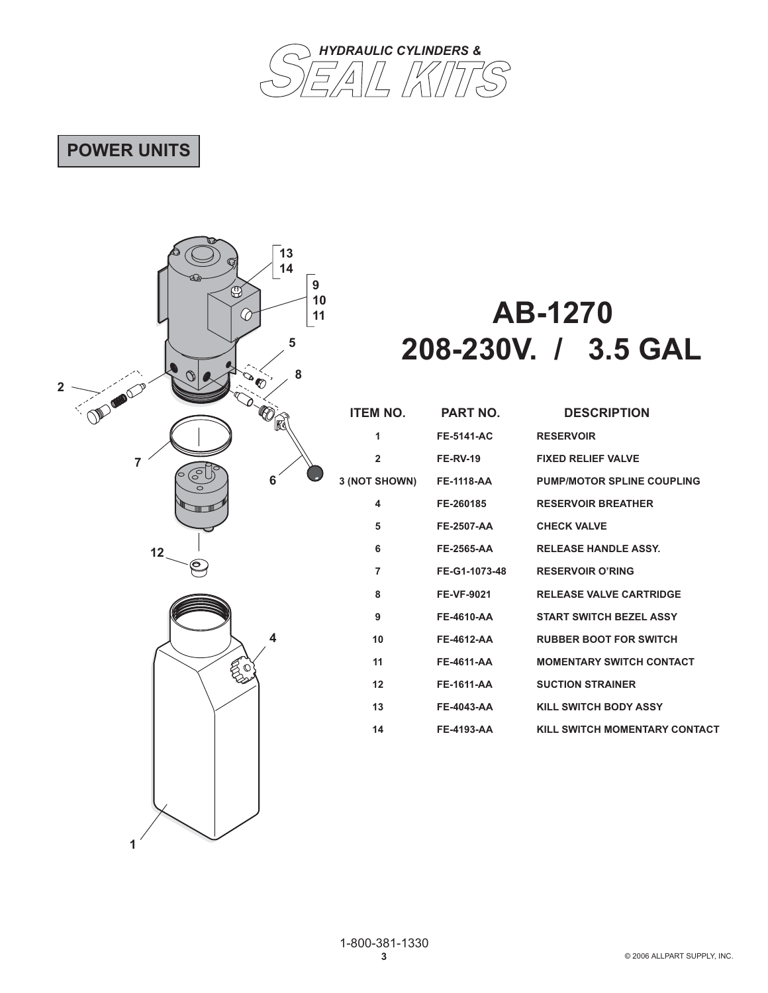

# **POWER UNITS**

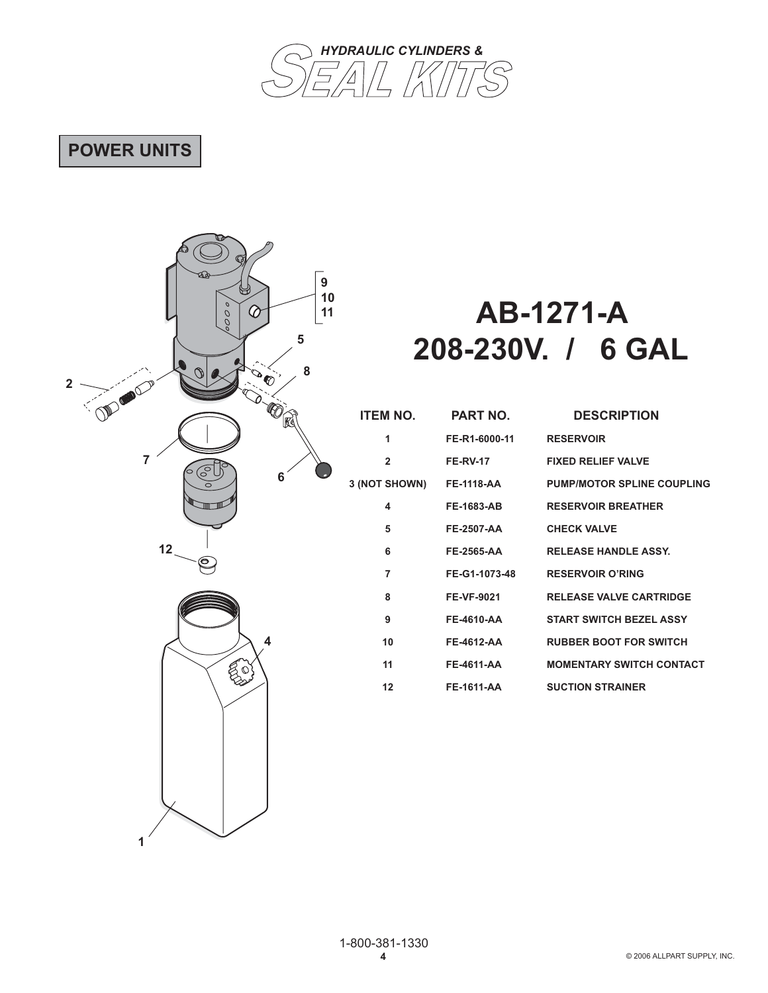

# **POWER UNITS**

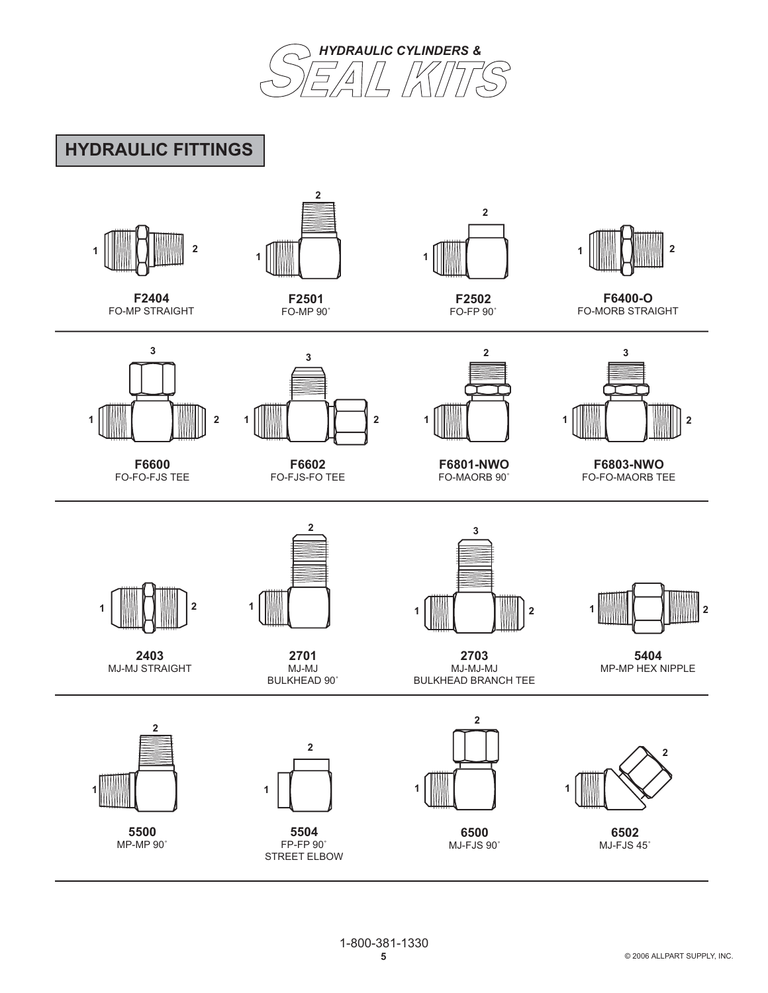

# **HYDRAULIC FITTINGS**

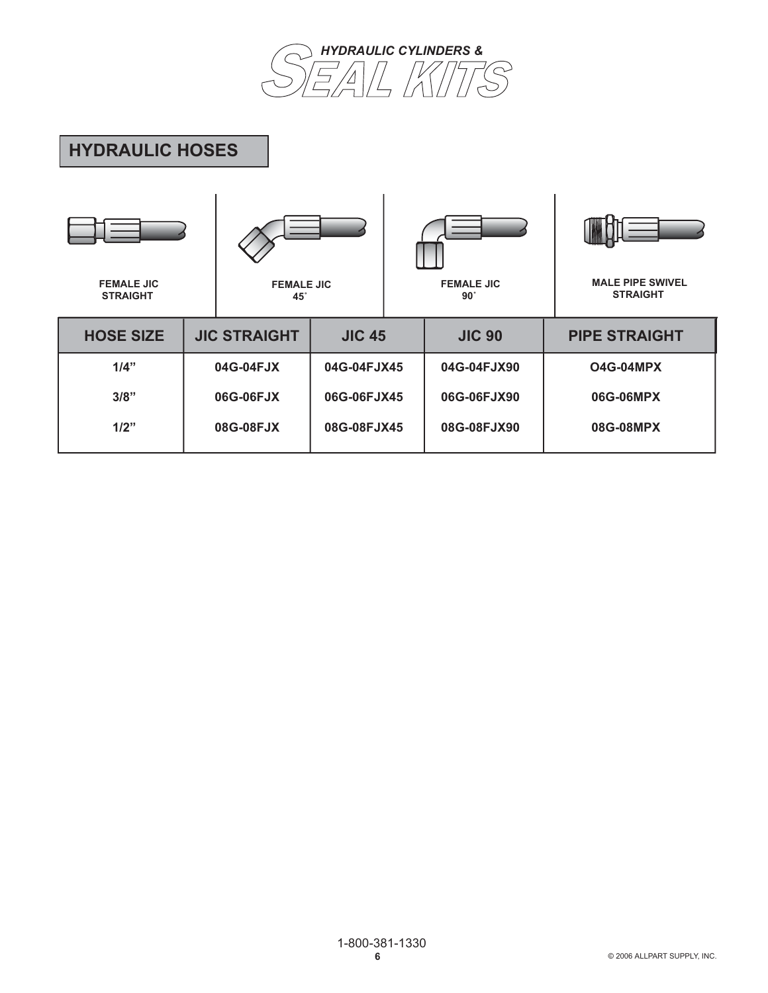

# **HYDRAULIC HOSES**

| <b>FEMALE JIC</b><br><b>STRAIGHT</b> | <b>FEMALE JIC</b><br>$45^\circ$ |               | <b>FEMALE JIC</b><br>$90^\circ$ | <b>MALE PIPE SWIVEL</b><br><b>STRAIGHT</b> |
|--------------------------------------|---------------------------------|---------------|---------------------------------|--------------------------------------------|
| <b>HOSE SIZE</b>                     | <b>JIC STRAIGHT</b>             | <b>JIC 45</b> | <b>JIC 90</b>                   | <b>PIPE STRAIGHT</b>                       |
| 1/4"                                 | 04G-04FJX                       | 04G-04FJX45   | 04G-04FJX90                     | <b>O4G-04MPX</b>                           |
| 3/8"                                 | 06G-06FJX                       | 06G-06FJX45   | 06G-06FJX90                     | 06G-06MPX                                  |
| 1/2"                                 | 08G-08FJX                       | 08G-08FJX45   | 08G-08FJX90                     | 08G-08MPX                                  |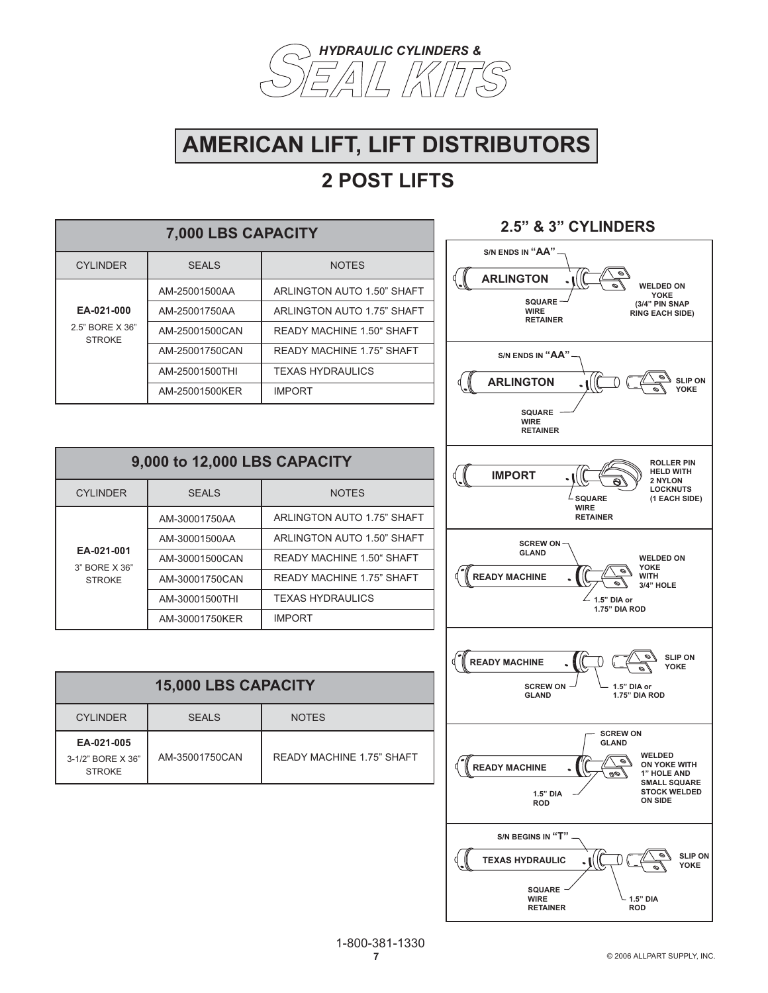

# **AMERICAN LIFT, LIFT DISTRIBUTORS**

| 7,000 LBS CAPACITY                             |                |                                  |  |
|------------------------------------------------|----------------|----------------------------------|--|
| <b>CYLINDER</b>                                | <b>SEALS</b>   | <b>NOTES</b>                     |  |
|                                                | AM-25001500AA  | ARLINGTON AUTO 1.50" SHAFT       |  |
| EA-021-000<br>2.5" BORE X 36"<br><b>STROKE</b> | AM-25001750AA  | ARLINGTON AUTO 1.75" SHAFT       |  |
|                                                | AM-25001500CAN | READY MACHINE 1.50" SHAFT        |  |
|                                                | AM-25001750CAN | <b>READY MACHINE 1.75" SHAFT</b> |  |
|                                                | AM-25001500THI | <b>TEXAS HYDRAULICS</b>          |  |
|                                                | AM-25001500KER | <b>IMPORT</b>                    |  |

| 9,000 to 12,000 LBS CAPACITY                 |                |                                  |
|----------------------------------------------|----------------|----------------------------------|
| <b>CYLINDER</b>                              | <b>SEALS</b>   | <b>NOTES</b>                     |
| EA-021-001<br>3" BORF X 36"<br><b>STROKE</b> | AM-30001750AA  | ARLINGTON AUTO 1.75" SHAFT       |
|                                              | AM-30001500AA  | ARLINGTON AUTO 1.50" SHAFT       |
|                                              | AM-30001500CAN | READY MACHINE 1.50" SHAFT        |
|                                              | AM-30001750CAN | <b>READY MACHINE 1.75" SHAFT</b> |
|                                              | AM-30001500THI | <b>TEXAS HYDRAULICS</b>          |
|                                              | AM-30001750KER | <b>IMPORT</b>                    |

| <b>15,000 LBS CAPACITY</b>                       |                |                           |  |
|--------------------------------------------------|----------------|---------------------------|--|
| <b>CYLINDER</b>                                  | <b>SEALS</b>   | <b>NOTES</b>              |  |
| EA-021-005<br>3-1/2" BORE X 36"<br><b>STROKE</b> | AM-35001750CAN | READY MACHINE 1.75" SHAFT |  |

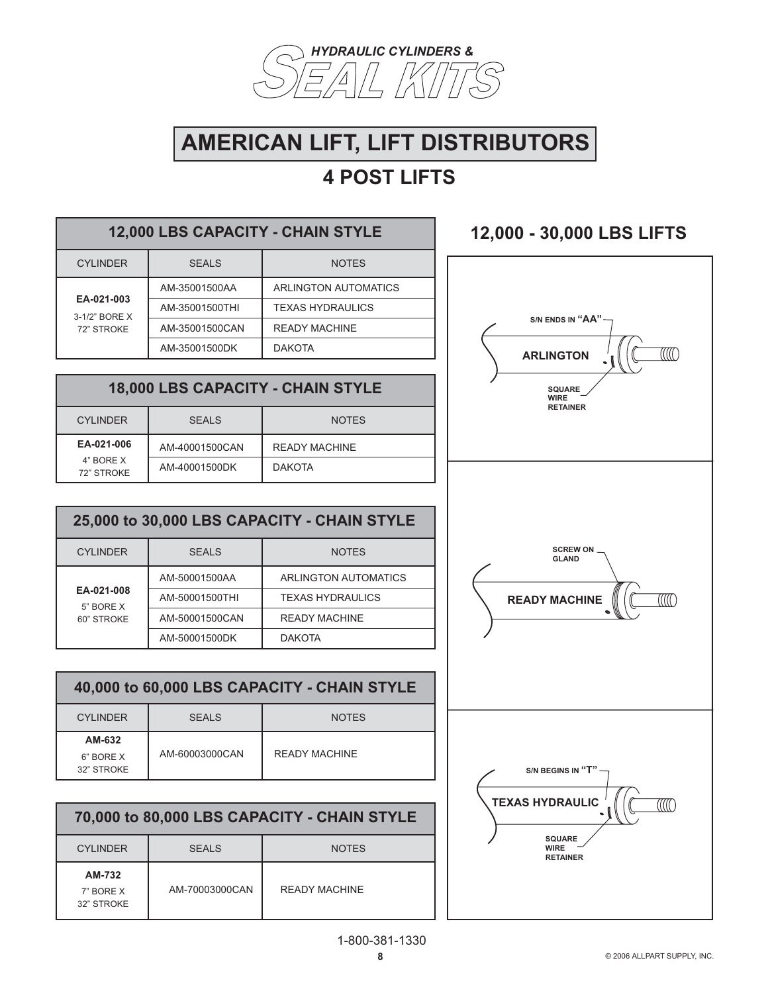

# **AMERICAN LIFT, LIFT DISTRIBUTORS**

# **4 POST LIFTS**

| 12,000 LBS CAPACITY - CHAIN STYLE         |                |                         |  |
|-------------------------------------------|----------------|-------------------------|--|
| <b>CYLINDER</b>                           | <b>SEALS</b>   | <b>NOTES</b>            |  |
| EA-021-003<br>3-1/2" BORE X<br>72" STROKE | AM-35001500AA  | ARLINGTON AUTOMATICS    |  |
|                                           | AM-35001500THI | <b>TEXAS HYDRAULICS</b> |  |
|                                           | AM-35001500CAN | <b>READY MACHINE</b>    |  |
|                                           | AM-35001500DK  | <b>DAKOTA</b>           |  |
|                                           |                |                         |  |

### **18,000 LBS CAPACITY - CHAIN STYLE**

| <b>CYLINDER</b>         | <b>SEALS</b>   | <b>NOTES</b>         |
|-------------------------|----------------|----------------------|
| EA-021-006              | AM-40001500CAN | <b>READY MACHINE</b> |
| 4" BORE X<br>72" STROKE | AM-40001500DK  | <b>DAKOTA</b>        |

| 25,000 to 30,000 LBS CAPACITY - CHAIN STYLE |                |                         |  |
|---------------------------------------------|----------------|-------------------------|--|
| <b>CYLINDER</b>                             | <b>SEALS</b>   | <b>NOTES</b>            |  |
| EA-021-008<br>5" BORE X<br>60" STROKE       | AM-50001500AA  | ARLINGTON AUTOMATICS    |  |
|                                             | AM-50001500THI | <b>TEXAS HYDRAULICS</b> |  |
|                                             | AM-50001500CAN | <b>READY MACHINE</b>    |  |
|                                             | AM-50001500DK  | <b>DAKOTA</b>           |  |

| 40,000 to 60,000 LBS CAPACITY - CHAIN STYLE |                |               |  |
|---------------------------------------------|----------------|---------------|--|
| <b>CYLINDER</b>                             | SFALS          | <b>NOTES</b>  |  |
| AM-632<br>6" BORE X<br>32" STROKE           | AM-60003000CAN | READY MACHINE |  |

| 70,000 to 80,000 LBS CAPACITY - CHAIN STYLE |                |               |  |
|---------------------------------------------|----------------|---------------|--|
| <b>CYLINDER</b>                             | <b>SEALS</b>   | <b>NOTES</b>  |  |
| AM-732<br>7" BORE X<br>32" STROKE           | AM-70003000CAN | READY MACHINE |  |

# **12,000 - 30,000 LBS LIFTS S/N ENDS IN "AA"**77 M **ARLINGTON SQUARE WIRE RETAINER SCREW ON GLAND READY MACHINE**  $\mathbb{C}\mathbb{C}$ **S/N BEGINS IN "T" TEXAS HYDRAULIC**  $\mathbb{\mathbb{C}}$ **SQUARE WIRE RETAINER**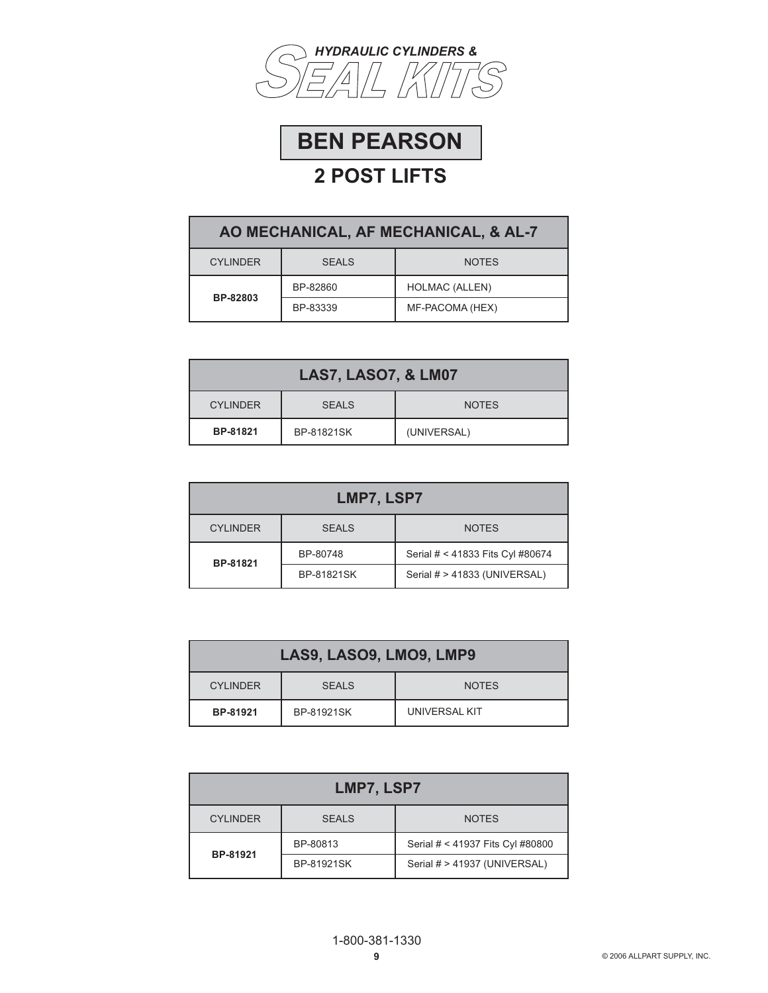



| AO MECHANICAL, AF MECHANICAL, & AL-7 |              |                       |  |
|--------------------------------------|--------------|-----------------------|--|
| <b>CYLINDER</b>                      | <b>SEALS</b> | <b>NOTES</b>          |  |
| BP-82803                             | BP-82860     | <b>HOLMAC (ALLEN)</b> |  |
|                                      | BP-83339     | MF-PACOMA (HEX)       |  |

| <b>LAS7, LASO7, &amp; LM07</b> |              |              |  |
|--------------------------------|--------------|--------------|--|
| <b>CYLINDER</b>                | <b>SEALS</b> | <b>NOTES</b> |  |
| BP-81821                       | BP-81821SK   | (UNIVERSAL)  |  |

| LMP7, LSP7                                      |            |                                  |  |
|-------------------------------------------------|------------|----------------------------------|--|
| <b>CYLINDER</b><br><b>SEALS</b><br><b>NOTES</b> |            |                                  |  |
| BP-81821                                        | BP-80748   | Serial # < 41833 Fits Cyl #80674 |  |
|                                                 | BP-81821SK | Serial # > 41833 (UNIVERSAL)     |  |

| LAS9, LASO9, LMO9, LMP9 |              |               |
|-------------------------|--------------|---------------|
| <b>CYLINDER</b>         | <b>SEALS</b> | <b>NOTES</b>  |
| BP-81921                | BP-81921SK   | UNIVERSAL KIT |

| LMP7, LSP7                                      |            |                                  |  |
|-------------------------------------------------|------------|----------------------------------|--|
| <b>CYLINDER</b><br><b>SEALS</b><br><b>NOTES</b> |            |                                  |  |
|                                                 | BP-80813   | Serial # < 41937 Fits Cyl #80800 |  |
| BP-81921                                        | BP-81921SK | Serial # > 41937 (UNIVERSAL)     |  |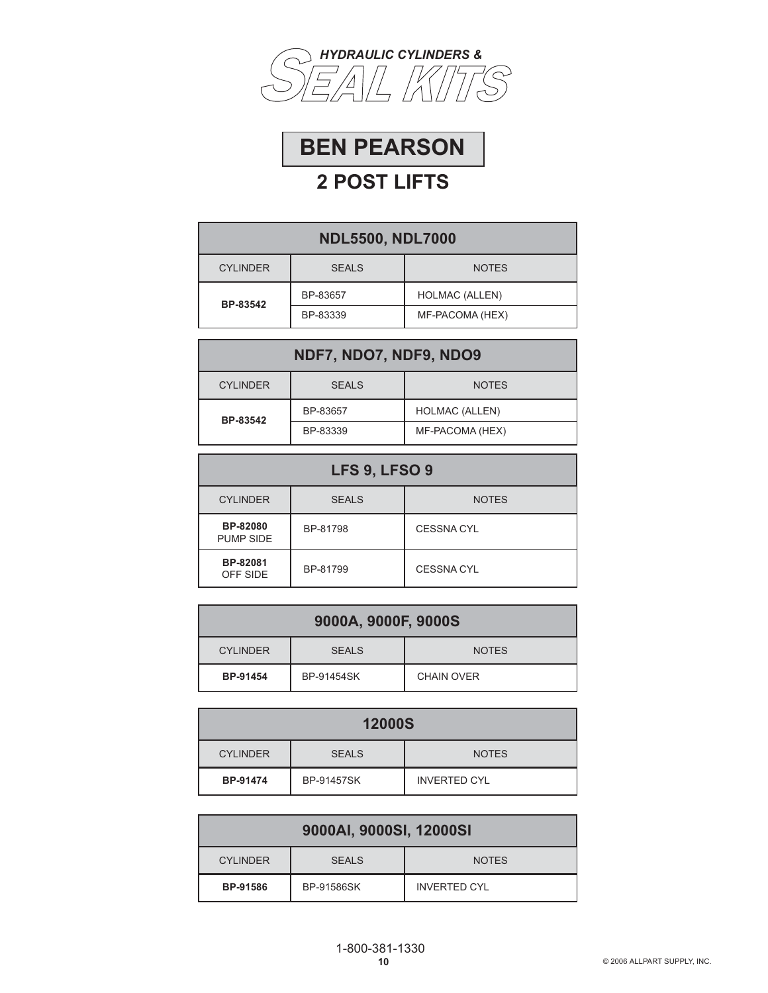



| <b>NDL5500, NDL7000</b>                         |          |                       |  |
|-------------------------------------------------|----------|-----------------------|--|
| <b>CYLINDER</b><br><b>SEALS</b><br><b>NOTES</b> |          |                       |  |
| BP-83542                                        | BP-83657 | <b>HOLMAC (ALLEN)</b> |  |
|                                                 | BP-83339 | MF-PACOMA (HEX)       |  |

| NDF7, NDO7, NDF9, NDO9                          |          |                       |  |
|-------------------------------------------------|----------|-----------------------|--|
| <b>SEALS</b><br><b>CYLINDER</b><br><b>NOTES</b> |          |                       |  |
| BP-83542                                        | BP-83657 | <b>HOLMAC (ALLEN)</b> |  |
|                                                 | BP-83339 | MF-PACOMA (HEX)       |  |

| <b>LFS 9, LFSO 9</b>         |              |                   |
|------------------------------|--------------|-------------------|
| <b>CYLINDER</b>              | <b>SEALS</b> | <b>NOTES</b>      |
| BP-82080<br><b>PUMP SIDE</b> | BP-81798     | <b>CESSNA CYL</b> |
| BP-82081<br>OFF SIDE         | BP-81799     | <b>CESSNA CYL</b> |

| 9000A, 9000F, 9000S |              |                   |
|---------------------|--------------|-------------------|
| <b>CYLINDER</b>     | <b>SEALS</b> | <b>NOTES</b>      |
| BP-91454            | BP-91454SK   | <b>CHAIN OVER</b> |

| <b>12000S</b>   |                   |                     |
|-----------------|-------------------|---------------------|
| <b>CYLINDER</b> | <b>SEALS</b>      | <b>NOTES</b>        |
| BP-91474        | <b>BP-91457SK</b> | <b>INVERTED CYL</b> |

| 9000AI, 9000SI, 12000SI                         |            |              |  |
|-------------------------------------------------|------------|--------------|--|
| <b>CYLINDER</b><br><b>SEALS</b><br><b>NOTES</b> |            |              |  |
| BP-91586                                        | BP-91586SK | INVERTED CYL |  |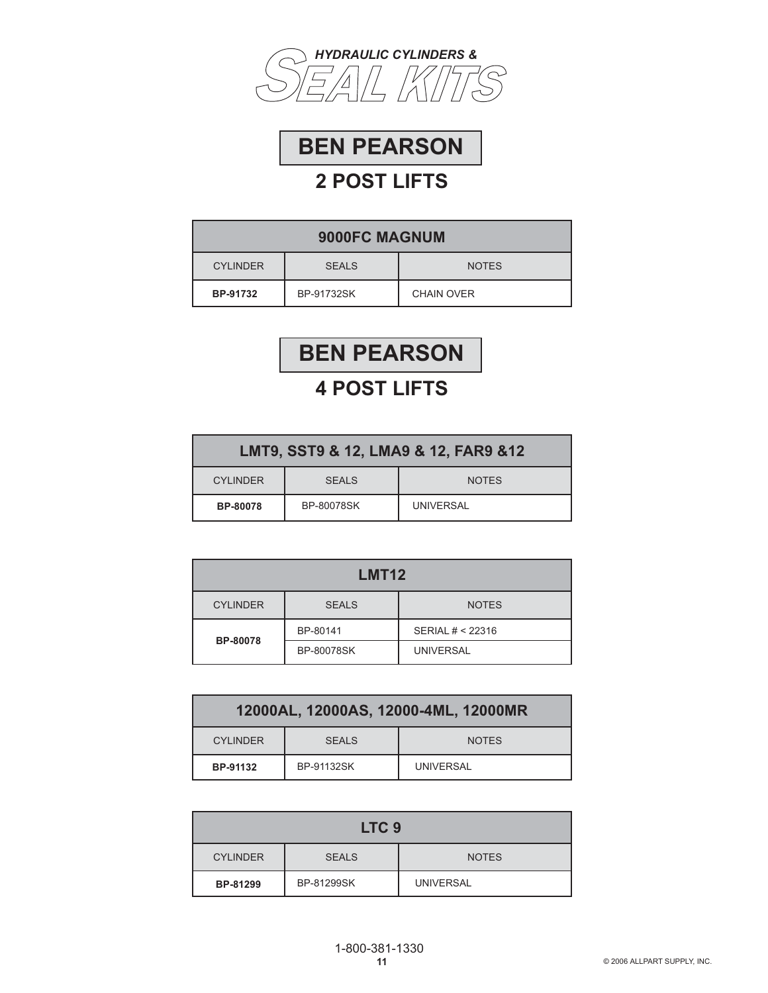



| 9000FC MAGNUM   |              |                   |
|-----------------|--------------|-------------------|
| <b>CYLINDER</b> | <b>SEALS</b> | <b>NOTES</b>      |
| BP-91732        | BP-91732SK   | <b>CHAIN OVER</b> |



| LMT9, SST9 & 12, LMA9 & 12, FAR9 & 12 |                   |              |
|---------------------------------------|-------------------|--------------|
| <b>CYLINDER</b>                       | <b>SEALS</b>      | <b>NOTES</b> |
| <b>BP-80078</b>                       | <b>BP-80078SK</b> | UNIVERSAL    |

| LMT <sub>12</sub>                               |            |                  |  |
|-------------------------------------------------|------------|------------------|--|
| <b>CYLINDER</b><br><b>SEALS</b><br><b>NOTES</b> |            |                  |  |
| <b>BP-80078</b>                                 | BP-80141   | SERIAL # < 22316 |  |
|                                                 | BP-80078SK | <b>UNIVERSAL</b> |  |

| 12000AL, 12000AS, 12000-4ML, 12000MR |                   |              |
|--------------------------------------|-------------------|--------------|
| <b>CYLINDER</b>                      | SFALS             | <b>NOTES</b> |
| BP-91132                             | <b>BP-91132SK</b> | UNIVERSAL    |

| LTC <sub>9</sub>                |            |                  |
|---------------------------------|------------|------------------|
| <b>CYLINDER</b><br><b>SEALS</b> |            | <b>NOTES</b>     |
| BP-81299                        | BP-81299SK | <b>UNIVERSAL</b> |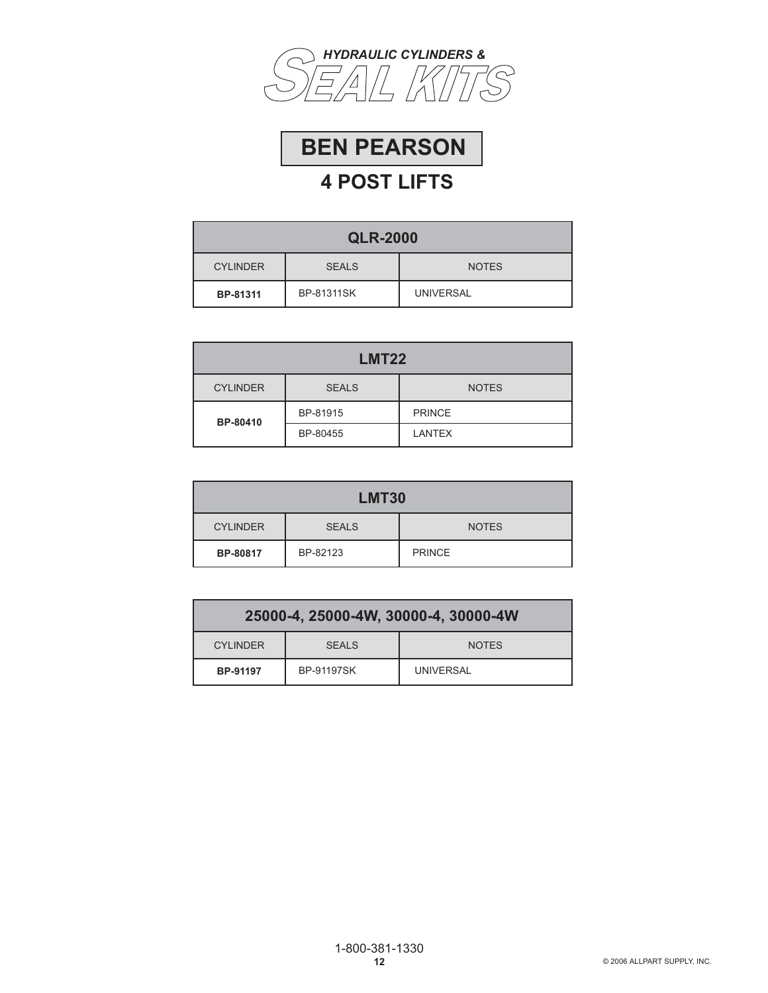



| <b>QLR-2000</b>                                 |                   |                  |  |
|-------------------------------------------------|-------------------|------------------|--|
| <b>CYLINDER</b><br><b>SEALS</b><br><b>NOTES</b> |                   |                  |  |
| BP-81311                                        | <b>BP-81311SK</b> | <b>UNIVERSAL</b> |  |

| <b>LMT22</b>    |              |               |  |
|-----------------|--------------|---------------|--|
| <b>CYLINDER</b> | <b>SEALS</b> | <b>NOTES</b>  |  |
| BP-80410        | BP-81915     | <b>PRINCE</b> |  |
|                 | BP-80455     | <b>LANTEX</b> |  |

| <b>LMT30</b>                                    |          |               |  |
|-------------------------------------------------|----------|---------------|--|
| <b>CYLINDER</b><br><b>SEALS</b><br><b>NOTES</b> |          |               |  |
| BP-80817                                        | BP-82123 | <b>PRINCE</b> |  |

| 25000-4, 25000-4W, 30000-4, 30000-4W            |                   |           |  |
|-------------------------------------------------|-------------------|-----------|--|
| <b>CYLINDER</b><br><b>SEALS</b><br><b>NOTES</b> |                   |           |  |
| BP-91197                                        | <b>BP-91197SK</b> | UNIVERSAL |  |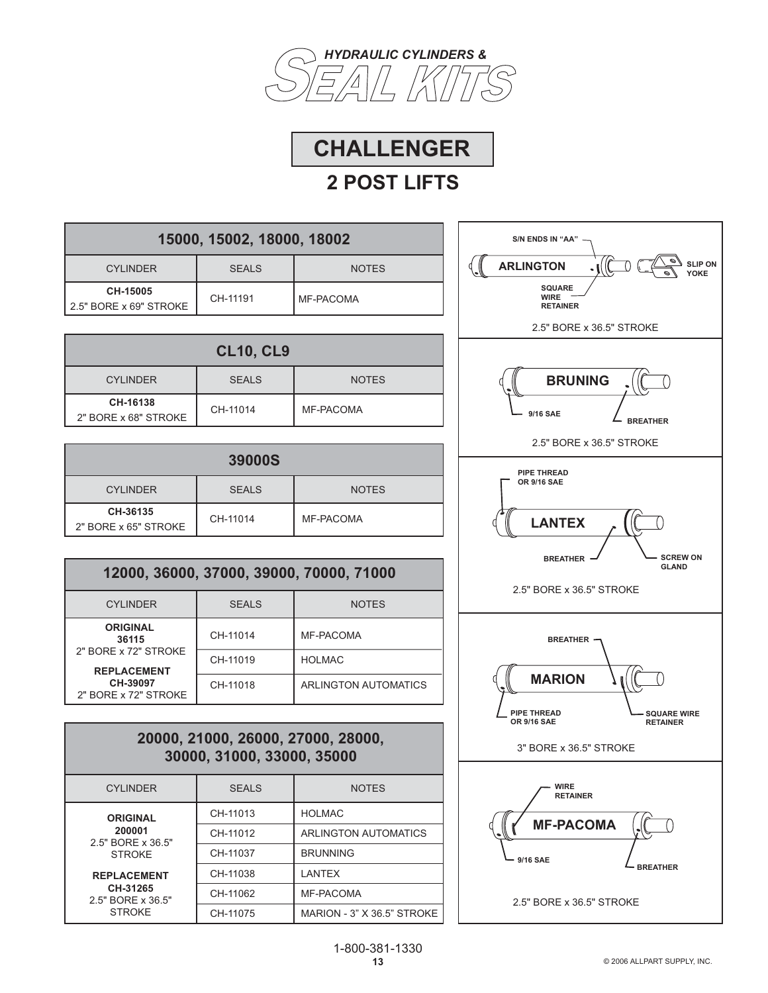



| 15000, 15002, 18000, 18002         |              |              |  |
|------------------------------------|--------------|--------------|--|
| <b>CYLINDER</b>                    | <b>SEALS</b> | <b>NOTES</b> |  |
| CH-15005<br>2.5" BORE x 69" STROKE | CH-11191     | MF-PACOMA    |  |

| <b>CL10, CL9</b>                 |              |              |  |
|----------------------------------|--------------|--------------|--|
| <b>CYLINDER</b>                  | <b>SEALS</b> | <b>NOTES</b> |  |
| CH-16138<br>2" BORE x 68" STROKE | CH-11014     | MF-PACOMA    |  |

| <b>39000S</b>                    |              |              |  |
|----------------------------------|--------------|--------------|--|
| <b>CYLINDER</b>                  | <b>SEALS</b> | <b>NOTES</b> |  |
| CH-36135<br>2" BORE x 65" STROKE | CH-11014     | MF-PACOMA    |  |

# **12000, 36000, 37000, 39000, 70000, 71000**

| <b>CYLINDER</b>                            | <b>SEALS</b> | <b>NOTES</b>         |
|--------------------------------------------|--------------|----------------------|
| <b>ORIGINAL</b><br>36115                   | CH-11014     | MF-PACOMA            |
| 2" BORE x 72" STROKE<br><b>REPLACEMENT</b> | CH-11019     | <b>HOLMAC</b>        |
| CH-39097<br>2" BORE x 72" STROKE           | CH-11018     | ARLINGTON AUTOMATICS |

### **20000, 21000, 26000, 27000, 28000, 30000, 31000, 33000, 35000**

| <b>CYLINDER</b>                                     | <b>SEALS</b> | <b>NOTES</b>               |
|-----------------------------------------------------|--------------|----------------------------|
| <b>ORIGINAL</b>                                     | CH-11013     | <b>HOLMAC</b>              |
| 200001<br>2.5" BORE x 36.5"<br><b>STROKE</b>        | CH-11012     | ARLINGTON AUTOMATICS       |
|                                                     | CH-11037     | <b>BRUNNING</b>            |
| <b>REPLACEMENT</b><br>CH-31265<br>2.5" BORE x 36.5" | CH-11038     | <b>LANTEX</b>              |
|                                                     | CH-11062     | MF-PACOMA                  |
| <b>STROKE</b>                                       | CH-11075     | MARION - 3" X 36.5" STROKE |

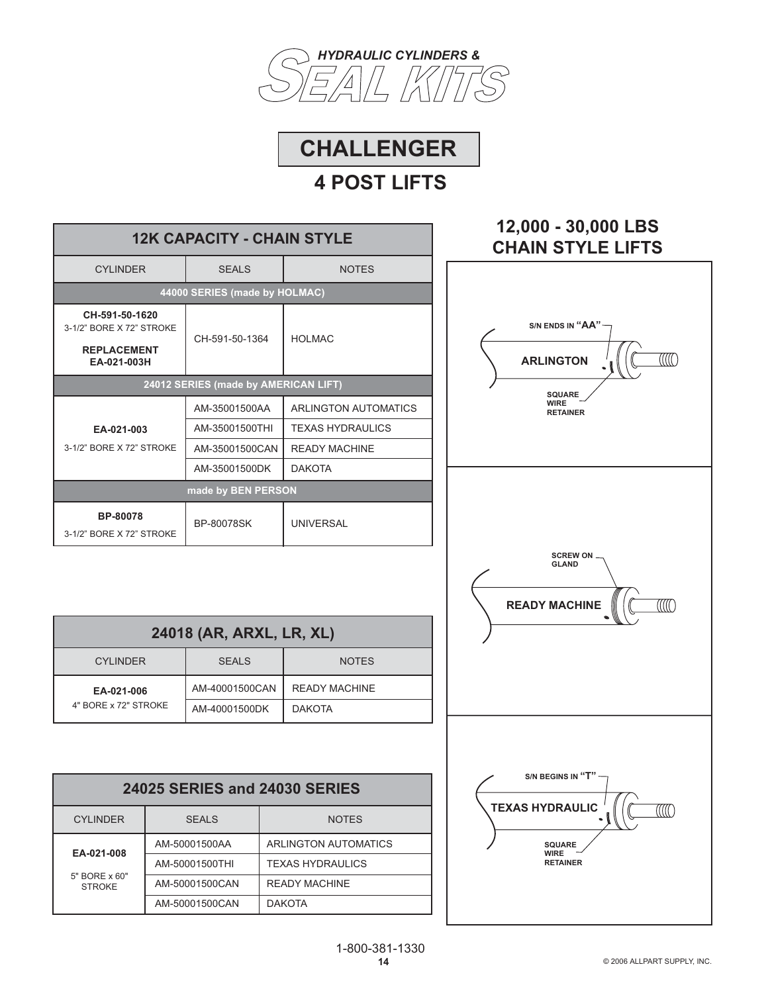



Ξ

| <b>12K CAPACITY - CHAIN STYLE</b>                                               |                               |                             |  |
|---------------------------------------------------------------------------------|-------------------------------|-----------------------------|--|
| <b>CYLINDER</b>                                                                 | <b>SEALS</b>                  | <b>NOTES</b>                |  |
|                                                                                 | 44000 SERIES (made by HOLMAC) |                             |  |
| CH-591-50-1620<br>3-1/2" BORE X 72" STROKE<br><b>REPLACEMENT</b><br>EA-021-003H | CH-591-50-1364                | HOI MAC                     |  |
| 24012 SERIES (made by AMERICAN LIFT)                                            |                               |                             |  |
|                                                                                 | AM-35001500AA                 | <b>ARLINGTON AUTOMATICS</b> |  |
| EA-021-003                                                                      | AM-35001500THI                | <b>TEXAS HYDRAULICS</b>     |  |
| 3-1/2" BORE X 72" STROKE                                                        | AM-35001500CAN                | <b>READY MACHINE</b>        |  |
|                                                                                 | AM-35001500DK                 | <b>DAKOTA</b>               |  |
| made by BEN PERSON                                                              |                               |                             |  |
| BP-80078<br>3-1/2" BORE X 72" STROKE                                            | <b>BP-80078SK</b>             | <b>UNIVERSAL</b>            |  |

| 24018 (AR, ARXL, LR, XL) |                |                      |  |
|--------------------------|----------------|----------------------|--|
| <b>CYLINDER</b>          | <b>SEALS</b>   | <b>NOTES</b>         |  |
| EA-021-006               | AM-40001500CAN | <b>READY MACHINE</b> |  |
| 4" BORE x 72" STROKE     | AM-40001500DK  | <b>DAKOTA</b>        |  |

| 24025 SERIES and 24030 SERIES  |                |                         |
|--------------------------------|----------------|-------------------------|
| <b>CYLINDER</b>                | <b>SEALS</b>   | <b>NOTES</b>            |
| EA-021-008                     | AM-50001500AA  | ARLINGTON AUTOMATICS    |
|                                | AM-50001500THI | <b>TEXAS HYDRAULICS</b> |
| 5" BORE x 60"<br><b>STROKE</b> | AM-50001500CAN | <b>READY MACHINE</b>    |
|                                | AM-50001500CAN | <b>DAKOTA</b>           |

# **12,000 - 30,000 LBS CHAIN STYLE LIFTS**

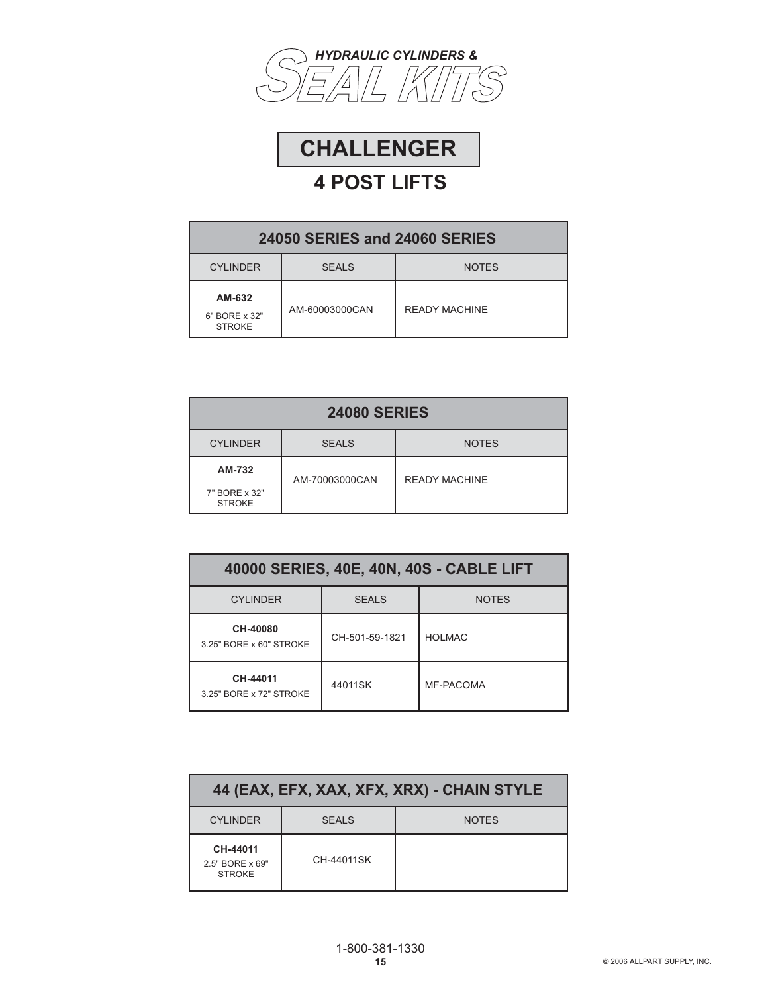



| <b>24050 SERIES and 24060 SERIES</b>     |                |                      |
|------------------------------------------|----------------|----------------------|
| <b>CYLINDER</b>                          | <b>SEALS</b>   | <b>NOTES</b>         |
| AM-632<br>6" BORE x 32"<br><b>STROKE</b> | AM-60003000CAN | <b>READY MACHINE</b> |

| <b>24080 SERIES</b>                      |                |                      |
|------------------------------------------|----------------|----------------------|
| <b>CYLINDER</b>                          | <b>SEALS</b>   | <b>NOTES</b>         |
| AM-732<br>7" BORE x 32"<br><b>STROKE</b> | AM-70003000CAN | <b>READY MACHINE</b> |

| 40000 SERIES, 40E, 40N, 40S - CABLE LIFT |                |              |  |
|------------------------------------------|----------------|--------------|--|
| <b>CYI INDER</b>                         | <b>SFALS</b>   | <b>NOTES</b> |  |
| CH-40080<br>3.25" BORE x 60" STROKE      | CH-501-59-1821 | HOI MAC      |  |
| CH-44011<br>3.25" BORE x 72" STROKE      | 44011SK        | MF-PACOMA    |  |

| 44 (EAX, EFX, XAX, XFX, XRX) - CHAIN STYLE   |            |              |
|----------------------------------------------|------------|--------------|
| <b>CYLINDER</b>                              | SFALS      | <b>NOTES</b> |
| CH-44011<br>2.5" BORE x 69"<br><b>STROKE</b> | CH-44011SK |              |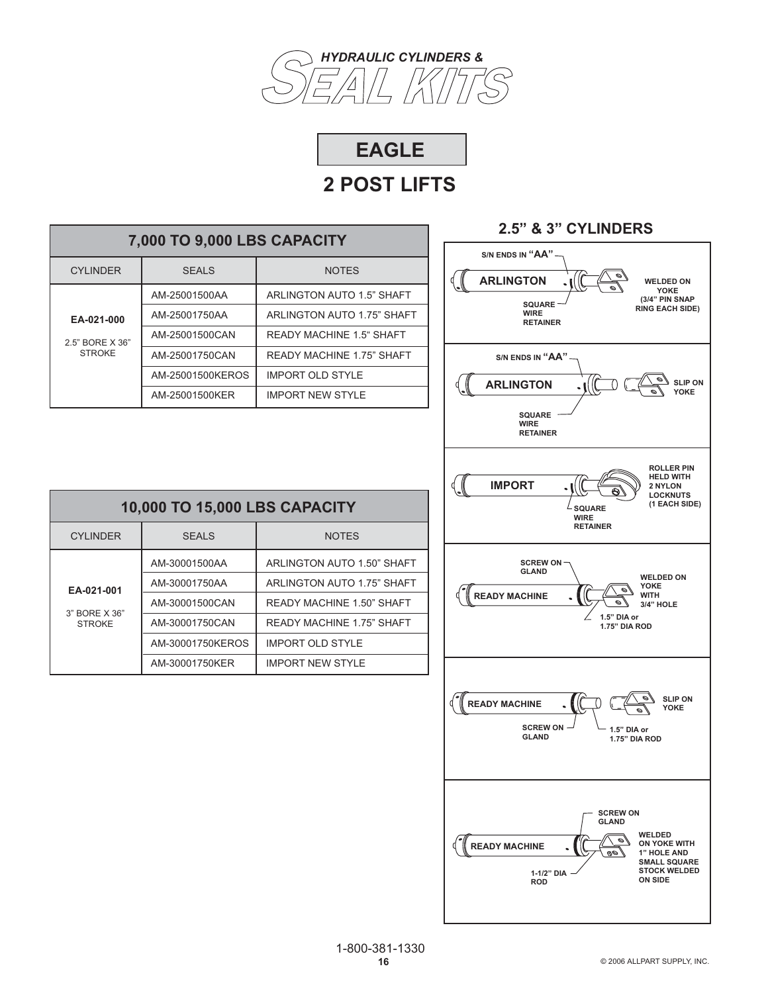



| 7,000 TO 9,000 LBS CAPACITY                    |                  |                                  |
|------------------------------------------------|------------------|----------------------------------|
| CYI INDER                                      | SFALS            | <b>NOTES</b>                     |
|                                                | AM-25001500AA    | ARLINGTON AUTO 1.5" SHAFT        |
| EA-021-000<br>2.5" BORE X 36"<br><b>STROKE</b> | AM-25001750AA    | ARLINGTON AUTO 1.75" SHAFT       |
|                                                | AM-25001500CAN   | <b>READY MACHINE 1.5" SHAFT</b>  |
|                                                | AM-25001750CAN   | <b>READY MACHINE 1.75" SHAFT</b> |
|                                                | AM-25001500KEROS | <b>IMPORT OLD STYLE</b>          |
|                                                | AM-25001500KER   | <b>IMPORT NEW STYLE</b>          |



### CYLINDER SEALS NOTES **EA-021-001** 3" BORE X 36" **STROKE 10,000 TO 15,000 LBS CAPACITY** AM-30001500AA AM-30001750AA AM-30001500CAN AM-30001750CAN AM-30001750KEROS ARLINGTON AUTO 1.50" SHAFT ARLINGTON AUTO 1.75" SHAFT READY MACHINE 1.50" SHAFT READY MACHINE 1.75" SHAFT IMPORT OLD STYLE

IMPORT NEW STYLE

AM-30001750KER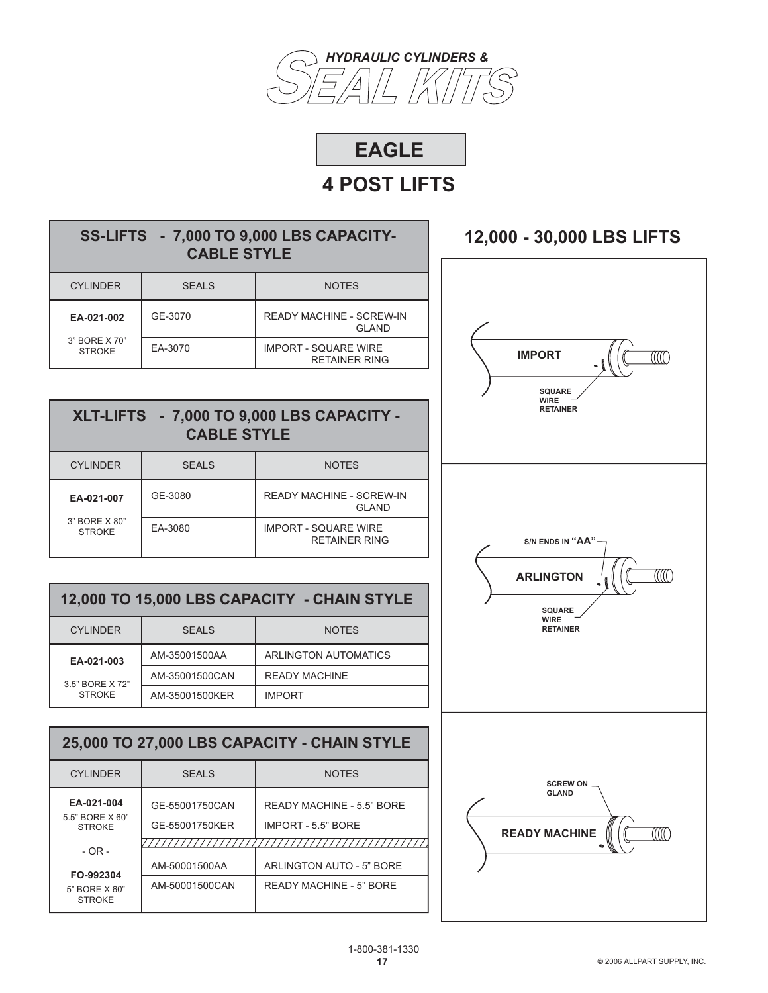



## **SS-LIFTS - 7,000 TO 9,000 LBS CAPACITY-CABLE STYLE**

| <b>CYLINDER</b>                | <b>SEALS</b> | <b>NOTES</b>                                        |
|--------------------------------|--------------|-----------------------------------------------------|
| EA-021-002                     | GF-3070      | <b>READY MACHINE - SCREW-IN</b><br><b>GLAND</b>     |
| 3" BORE X 70"<br><b>STROKE</b> | EA-3070      | <b>IMPORT - SQUARE WIRE</b><br><b>RETAINER RING</b> |

### **XLT-LIFTS - 7,000 TO 9,000 LBS CAPACITY - CABLE STYLE**

| <b>CYLINDER</b>                | <b>SEALS</b> | <b>NOTES</b>                                    |
|--------------------------------|--------------|-------------------------------------------------|
| EA-021-007                     | GF-3080      | <b>READY MACHINE - SCREW-IN</b><br><b>GLAND</b> |
| 3" BORE X 80"<br><b>STROKE</b> | EA-3080      | <b>IMPORT - SQUARE WIRE</b><br>RETAINER RING    |

### **12,000 TO 15,000 LBS CAPACITY - CHAIN STYLE**

| <b>CYLINDER</b> | SFALS          | <b>NOTES</b>         |
|-----------------|----------------|----------------------|
| EA-021-003      | AM-35001500AA  | ARLINGTON AUTOMATICS |
| 3.5" BORE X 72" | AM-35001500CAN | <b>READY MACHINE</b> |
| <b>STROKE</b>   | AM-35001500KER | <b>IMPORT</b>        |

### **25,000 TO 27,000 LBS CAPACITY - CHAIN STYLE**

| CYI INDER                        | SFALS          | <b>NOTES</b>              |
|----------------------------------|----------------|---------------------------|
| EA-021-004                       | GE-55001750CAN | READY MACHINE - 5.5" BORE |
| 5.5" BORE X 60"<br><b>STROKE</b> | GE-55001750KER | <b>IMPORT - 5.5" BORE</b> |
| $-$ OR $-$                       |                |                           |
| FO-992304                        | AM-50001500AA  | ARLINGTON AUTO - 5" BORE  |
| 5" BORE X 60"<br><b>STROKE</b>   | AM-50001500CAN | READY MACHINE - 5" BORE   |

# **12,000 - 30,000 LBS LIFTS**

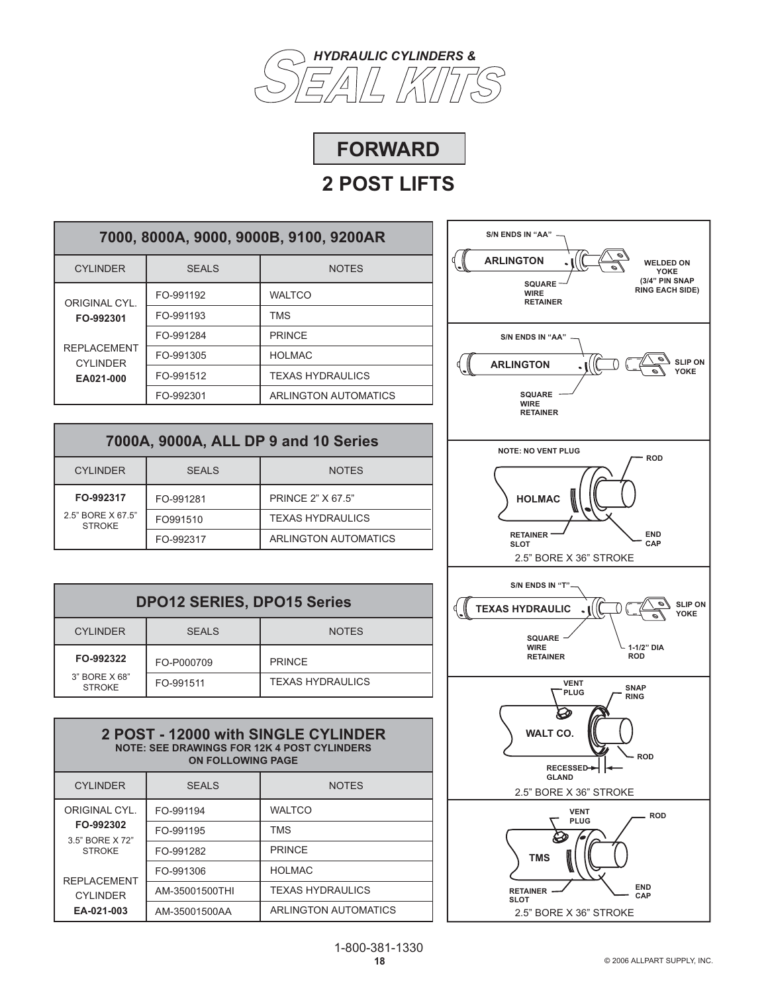



| 7000, 8000A, 9000, 9000B, 9100, 9200AR                          |           |                             |
|-----------------------------------------------------------------|-----------|-----------------------------|
| <b>CYLINDER</b>                                                 | SFALS     | <b>NOTES</b>                |
| ORIGINAL CYL.                                                   | FO-991192 | <b>WALTCO</b>               |
| FO-992301<br><b>REPLACEMENT</b><br><b>CYLINDER</b><br>EA021-000 | FO-991193 | <b>TMS</b>                  |
|                                                                 | FO-991284 | <b>PRINCE</b>               |
|                                                                 | FO-991305 | <b>HOLMAC</b>               |
|                                                                 | FO-991512 | <b>TEXAS HYDRAULICS</b>     |
|                                                                 | FO-992301 | <b>ARLINGTON AUTOMATICS</b> |

| 7000A, 9000A, ALL DP 9 and 10 Series |              |                         |
|--------------------------------------|--------------|-------------------------|
| <b>CYLINDER</b>                      | <b>SEALS</b> | <b>NOTES</b>            |
| FO-992317                            | FO-991281    | PRINCE 2" X 67.5"       |
| 2.5" BORE X 67.5"<br><b>STROKE</b>   | FO991510     | <b>TEXAS HYDRAULICS</b> |
|                                      | FO-992317    | ARLINGTON AUTOMATICS    |

| <b>DPO12 SERIES, DPO15 Series</b>               |            |                         |  |
|-------------------------------------------------|------------|-------------------------|--|
| <b>CYLINDER</b><br><b>SEALS</b><br><b>NOTES</b> |            |                         |  |
| FO-992322                                       | FO-P000709 | <b>PRINCE</b>           |  |
| 3" BORE X 68"<br><b>STROKE</b>                  | FO-991511  | <b>TEXAS HYDRAULICS</b> |  |

### **WALTCO** TMS PRINCE HOLMAC TEXAS HYDRAULICS ARLINGTON AUTOMATICS ORIGINAL CYL. **FO-992302** 3.5" BORE X 72" STROKE REPLACEMENT CYLINDER **EA-021-003 2 POST - 12000 with SINGLE CYLINDER NOTE: SEE DRAWINGS FOR 12K 4 POST CYLINDERS ON FOLLOWING PAGE** FO-991194 FO-991195 FO-991282 FO-991306 AM-35001500THI AM-35001500AA CYLINDER SEALS NOTES

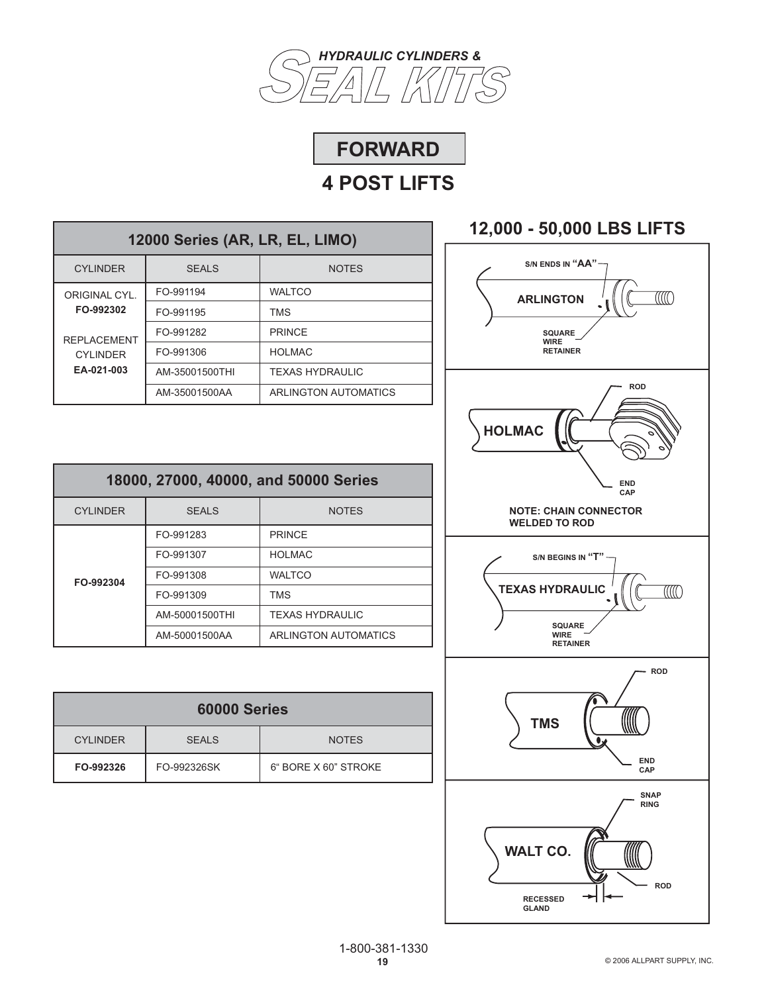



| 12000 Series (AR, LR, EL, LIMO)                     |                |                        |  |
|-----------------------------------------------------|----------------|------------------------|--|
| <b>CYLINDER</b>                                     | <b>SEALS</b>   | <b>NOTES</b>           |  |
| ORIGINAL CYL.                                       | FO-991194      | <b>WALTCO</b>          |  |
| FO-992302                                           | FO-991195      | <b>TMS</b>             |  |
| <b>REPLACEMENT</b><br><b>CYLINDER</b><br>EA-021-003 | FO-991282      | <b>PRINCF</b>          |  |
|                                                     | FO-991306      | <b>HOLMAC</b>          |  |
|                                                     | AM-35001500THI | <b>TEXAS HYDRAULIC</b> |  |
|                                                     | AM-35001500AA  | ARLINGTON AUTOMATICS   |  |

| 18000, 27000, 40000, and 50000 Series |                              |                        |
|---------------------------------------|------------------------------|------------------------|
| <b>CYLINDER</b>                       | <b>SEALS</b><br><b>NOTES</b> |                        |
| FO-992304                             | FO-991283                    | <b>PRINCF</b>          |
|                                       | FO-991307                    | <b>HOLMAC</b>          |
|                                       | FO-991308                    | <b>WALTCO</b>          |
|                                       | FO-991309                    | <b>TMS</b>             |
|                                       | AM-50001500THI               | <b>TEXAS HYDRAULIC</b> |
|                                       | AM-50001500AA                | ARLINGTON AUTOMATICS   |

| 60000 Series                                    |             |                      |  |
|-------------------------------------------------|-------------|----------------------|--|
| <b>CYLINDER</b><br><b>SEALS</b><br><b>NOTES</b> |             |                      |  |
| FO-992326                                       | FO-992326SK | 6" BORE X 60" STROKE |  |

# **12,000 - 50,000 LBS LIFTS**

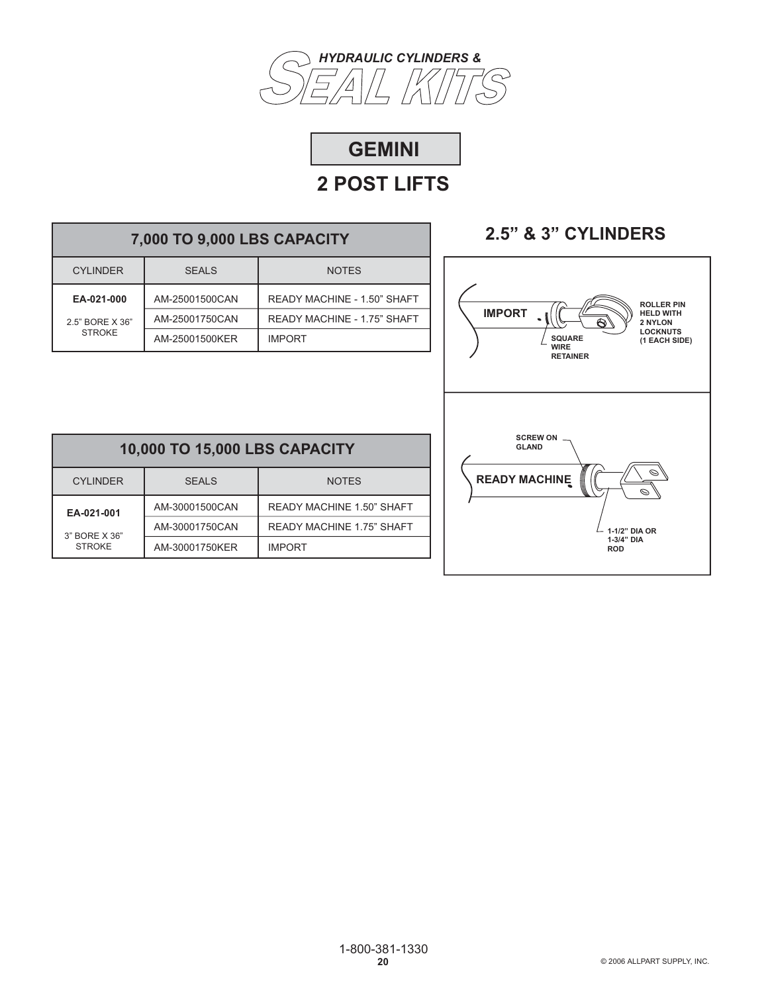



# **7,000 TO 9,000 LBS CAPACITY**

| <b>CYLINDER</b> | SFALS          | <b>NOTES</b>                |
|-----------------|----------------|-----------------------------|
| EA-021-000      | AM-25001500CAN | READY MACHINE - 1.50" SHAFT |
| 2.5" BORE X 36" | AM-25001750CAN | READY MACHINE - 1.75" SHAFT |
| <b>STROKE</b>   | AM-25001500KER | <b>IMPORT</b>               |

# **2.5" & 3" CYLINDERS**



| 10,000 TO 15,000 LBS CAPACITY                   |                |                                  |  |
|-------------------------------------------------|----------------|----------------------------------|--|
| <b>CYLINDER</b><br><b>NOTES</b><br><b>SEALS</b> |                |                                  |  |
| EA-021-001                                      | AM-30001500CAN | READY MACHINE 1.50" SHAFT        |  |
| 3" BORE X 36"                                   | AM-30001750CAN | <b>READY MACHINE 1.75" SHAFT</b> |  |
| <b>STROKE</b>                                   | AM-30001750KER | <b>IMPORT</b>                    |  |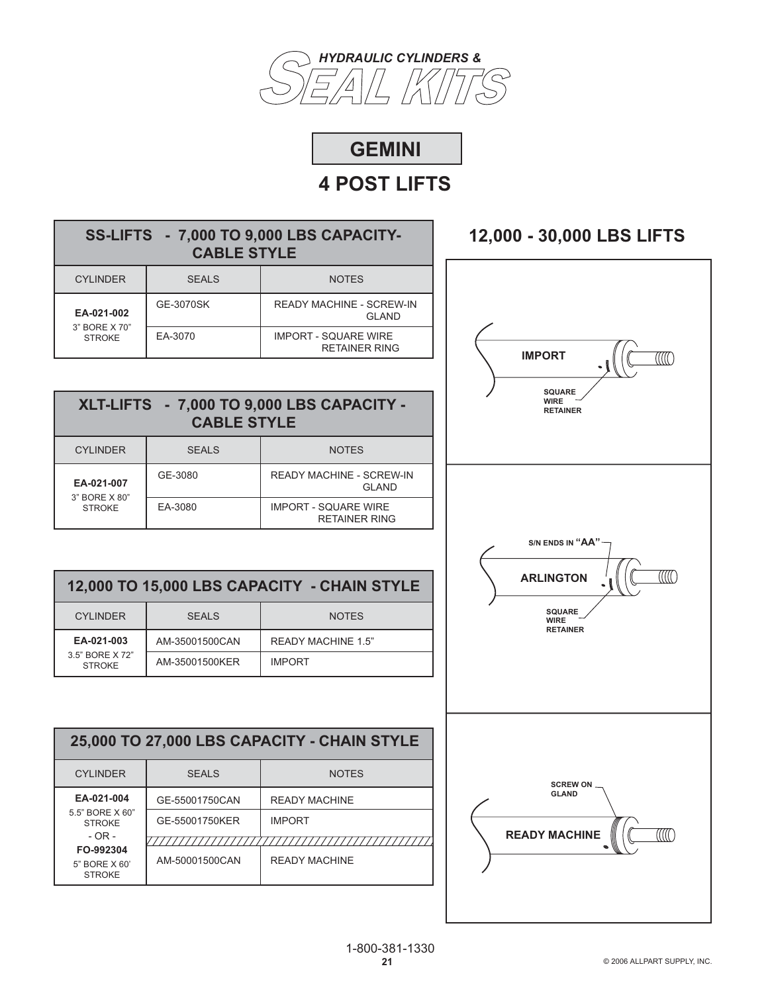

# **GEMINI**

# **4 POST LIFTS**

### **SS-LIFTS - 7,000 TO 9,000 LBS CAPACITY-CABLE STYLE**

| <b>CYLINDER</b>                | <b>SEALS</b> | <b>NOTES</b>                                        |
|--------------------------------|--------------|-----------------------------------------------------|
| EA-021-002                     | GE-3070SK    | <b>READY MACHINE - SCREW-IN</b><br>GI AND           |
| 3" BORE X 70"<br><b>STROKE</b> | EA-3070      | <b>IMPORT - SQUARE WIRE</b><br><b>RETAINER RING</b> |

### **XLT-LIFTS - 7,000 TO 9,000 LBS CAPACITY - CABLE STYLE**

| <b>CYLINDER</b>                | <b>SEALS</b> | <b>NOTES</b>                                        |
|--------------------------------|--------------|-----------------------------------------------------|
| EA-021-007                     | GE-3080      | <b>READY MACHINE - SCREW-IN</b><br>GI AND           |
| 3" BORE X 80"<br><b>STROKE</b> | EA-3080      | <b>IMPORT - SQUARE WIRE</b><br><b>RETAINER RING</b> |

### **12,000 TO 15,000 LBS CAPACITY - CHAIN STYLE**

| CYI INDER                        | <b>SEALS</b>   | <b>NOTES</b>              |
|----------------------------------|----------------|---------------------------|
| EA-021-003                       | AM-35001500CAN | <b>READY MACHINE 1.5"</b> |
| 3.5" BORF X 72"<br><b>STROKE</b> | AM-35001500KER | <b>IMPORT</b>             |

### **25,000 TO 27,000 LBS CAPACITY - CHAIN STYLE**  CYLINDER SEALS NOTES **EA-021-004** GE-55001750CAN READY MACHINE 5.5" BORE X 60" GE-55001750KER IMPORT STROKE - OR - ////////////////// ,,,,,,,,,,,,,,,,,,,,,,,,,,,,,, **FO-992304** AM-50001500CAN READY MACHINE 5" BORE X 60' STROKE

# **12,000 - 30,000 LBS LIFTS**

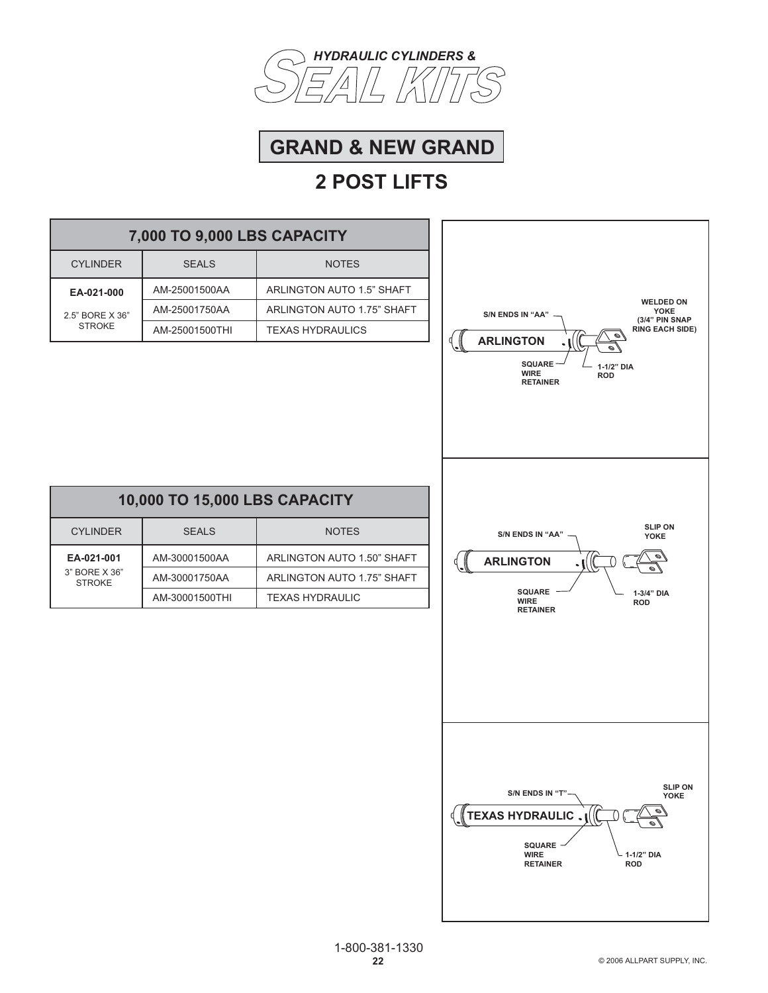



| 7,000 TO 9,000 LBS CAPACITY    |                               |                            |                                                                                 |
|--------------------------------|-------------------------------|----------------------------|---------------------------------------------------------------------------------|
| <b>CYLINDER</b>                | <b>SEALS</b>                  | <b>NOTES</b>               |                                                                                 |
| EA-021-000                     | AM-25001500AA                 | ARLINGTON AUTO 1.5" SHAFT  |                                                                                 |
| 2.5" BORE X 36"                | AM-25001750AA                 | ARLINGTON AUTO 1.75" SHAFT | <b>WELDED ON</b><br>YOKE<br>S/N ENDS IN "AA"                                    |
| <b>STROKE</b>                  | AM-25001500THI                | <b>TEXAS HYDRAULICS</b>    | (3/4" PIN SNAP<br><b>RING EACH SIDE)</b><br>$\mathscr{O}_4$<br><b>ARLINGTON</b> |
|                                |                               |                            | <b>SQUARE</b><br>1-1/2" DIA<br><b>WIRE</b><br><b>ROD</b><br><b>RETAINER</b>     |
|                                | 10,000 TO 15,000 LBS CAPACITY |                            |                                                                                 |
| <b>CYLINDER</b>                | <b>SEALS</b>                  | <b>NOTES</b>               | <b>SLIP ON</b><br>S/N ENDS IN "AA"<br>YOKE                                      |
| EA-021-001                     | AM-30001500AA                 | ARLINGTON AUTO 1.50" SHAFT | <b>ARLINGTON</b>                                                                |
| 3" BORE X 36"<br><b>STROKE</b> | AM-30001750AA                 | ARLINGTON AUTO 1.75" SHAFT |                                                                                 |
|                                | AM-30001500THI                | <b>TEXAS HYDRAULIC</b>     | <b>SQUARE</b><br>1-3/4" DIA<br><b>WIRE</b><br><b>ROD</b><br><b>RETAINER</b>     |
|                                |                               |                            | SLIP ON<br>YOKE<br>S/N ENDS IN "T"-<br><b>TEXAS HYDRAULIC</b>                   |
|                                |                               |                            | SQUARE<br><b>WIRE</b><br>1-1/2" DIA<br><b>RETAINER</b><br><b>ROD</b>            |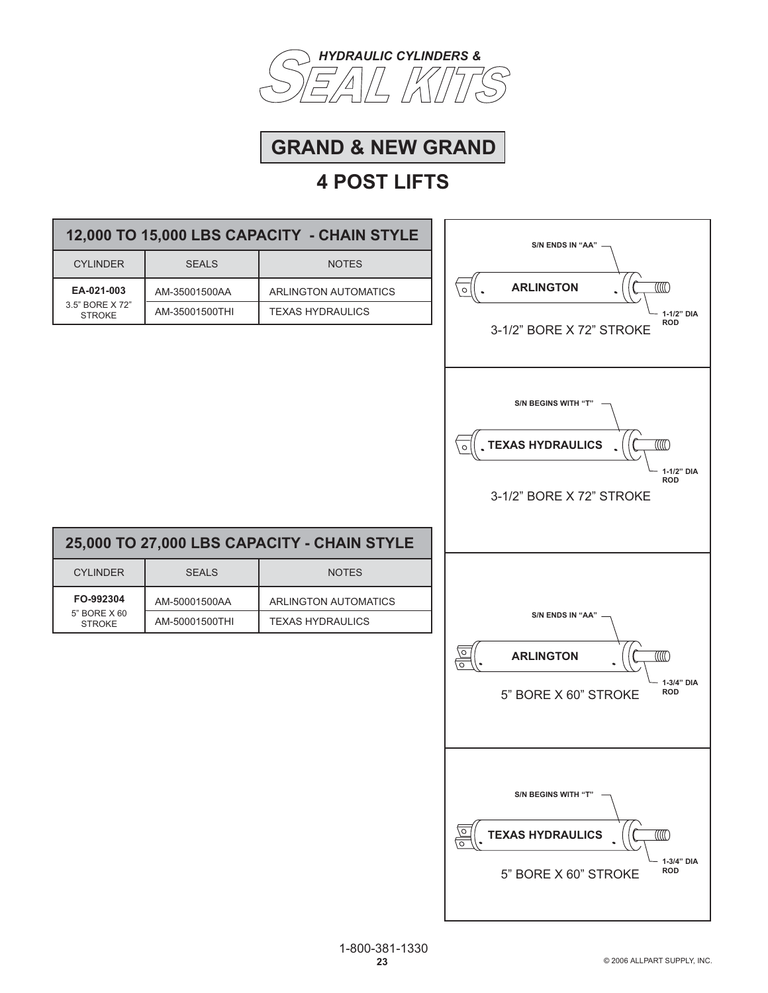



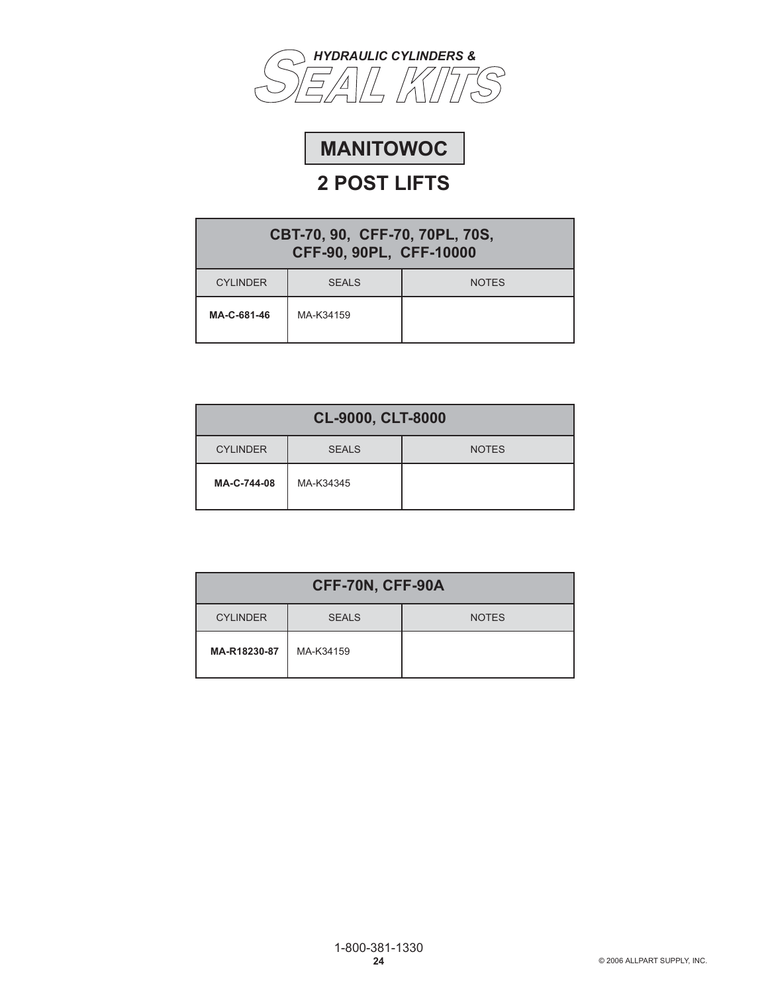



| CBT-70, 90, CFF-70, 70PL, 70S,<br>CFF-90, 90PL, CFF-10000 |              |              |  |
|-----------------------------------------------------------|--------------|--------------|--|
| <b>CYLINDER</b>                                           | <b>SEALS</b> | <b>NOTES</b> |  |
| MA-C-681-46                                               | MA-K34159    |              |  |

| CL-9000, CLT-8000                               |           |  |  |  |
|-------------------------------------------------|-----------|--|--|--|
| <b>CYLINDER</b><br><b>SEALS</b><br><b>NOTES</b> |           |  |  |  |
| MA-C-744-08                                     | MA-K34345 |  |  |  |

| CFF-70N, CFF-90A |              |              |  |
|------------------|--------------|--------------|--|
| <b>CYLINDER</b>  | <b>SEALS</b> | <b>NOTES</b> |  |
| MA-R18230-87     | MA-K34159    |              |  |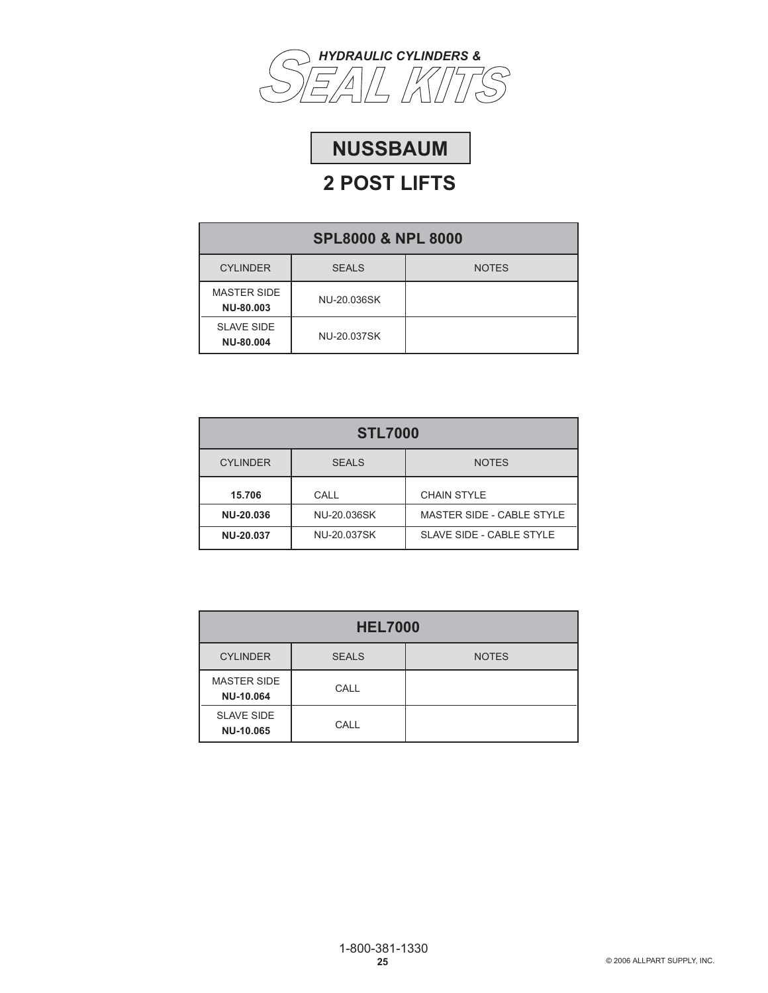

# **NUSSBAUM**

| <b>SPL8000 &amp; NPL 8000</b>                   |             |  |  |
|-------------------------------------------------|-------------|--|--|
| <b>CYLINDER</b><br><b>NOTES</b><br><b>SEALS</b> |             |  |  |
| <b>MASTER SIDE</b><br>NU-80,003                 | NU-20.036SK |  |  |
| <b>SLAVE SIDE</b><br><b>NU-80,004</b>           | NU-20.037SK |  |  |

| <b>STL7000</b>                                  |             |                           |  |
|-------------------------------------------------|-------------|---------------------------|--|
| <b>CYLINDER</b><br><b>SEALS</b><br><b>NOTES</b> |             |                           |  |
| 15.706                                          | CALL        | <b>CHAIN STYLE</b>        |  |
| NU-20.036                                       | NU-20.036SK | MASTER SIDE - CABLE STYLE |  |
| <b>NU-20.037</b>                                | NU-20.037SK | SLAVE SIDE - CABLE STYLE  |  |

| <b>HEL7000</b>                  |              |              |
|---------------------------------|--------------|--------------|
| <b>CYLINDER</b>                 | <b>SEALS</b> | <b>NOTES</b> |
| <b>MASTER SIDE</b><br>NU-10.064 | CALL         |              |
| <b>SLAVE SIDE</b><br>NU-10.065  | CALL         |              |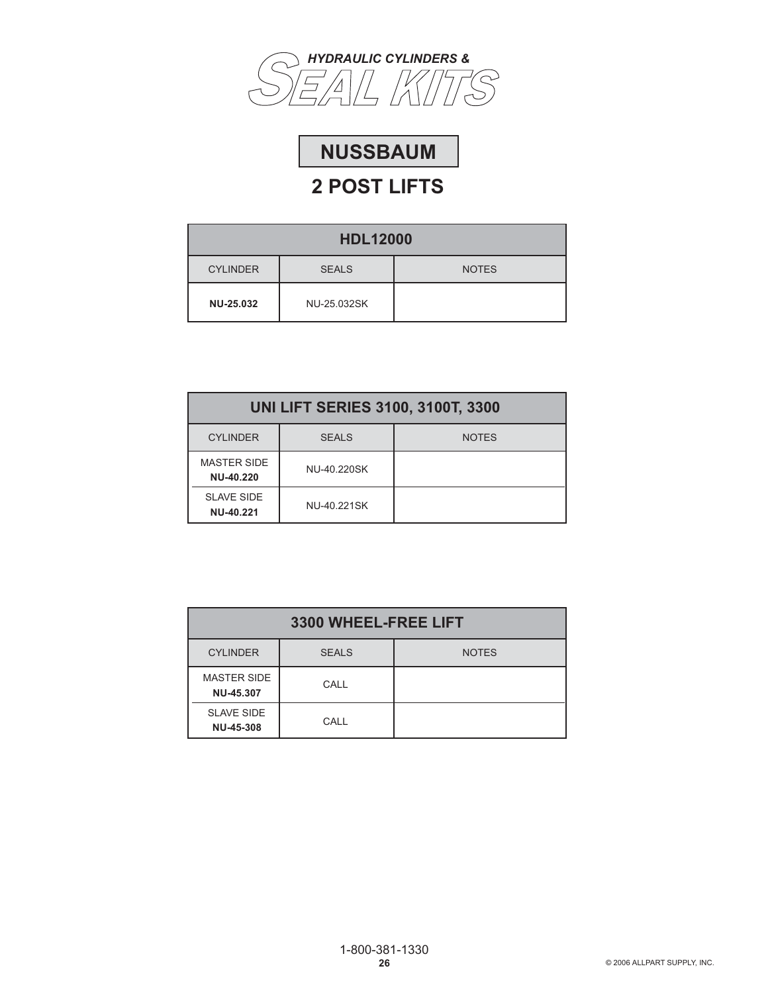



| <b>HDL12000</b>  |              |              |
|------------------|--------------|--------------|
| <b>CYLINDER</b>  | <b>SEALS</b> | <b>NOTES</b> |
| <b>NU-25.032</b> | NU-25.032SK  |              |

| <b>UNI LIFT SERIES 3100, 3100T, 3300</b> |              |              |
|------------------------------------------|--------------|--------------|
| <b>CYLINDER</b>                          | <b>SEALS</b> | <b>NOTES</b> |
| <b>MASTER SIDE</b><br><b>NU-40.220</b>   | NU-40.220SK  |              |
| <b>SLAVE SIDE</b><br>NU-40.221           | NU-40.221SK  |              |

| 3300 WHEEL-FREE LIFT            |              |              |
|---------------------------------|--------------|--------------|
| <b>CYLINDER</b>                 | <b>SEALS</b> | <b>NOTES</b> |
| <b>MASTER SIDE</b><br>NU-45.307 | CALL         |              |
| <b>SLAVE SIDE</b><br>NU-45-308  | CALL         |              |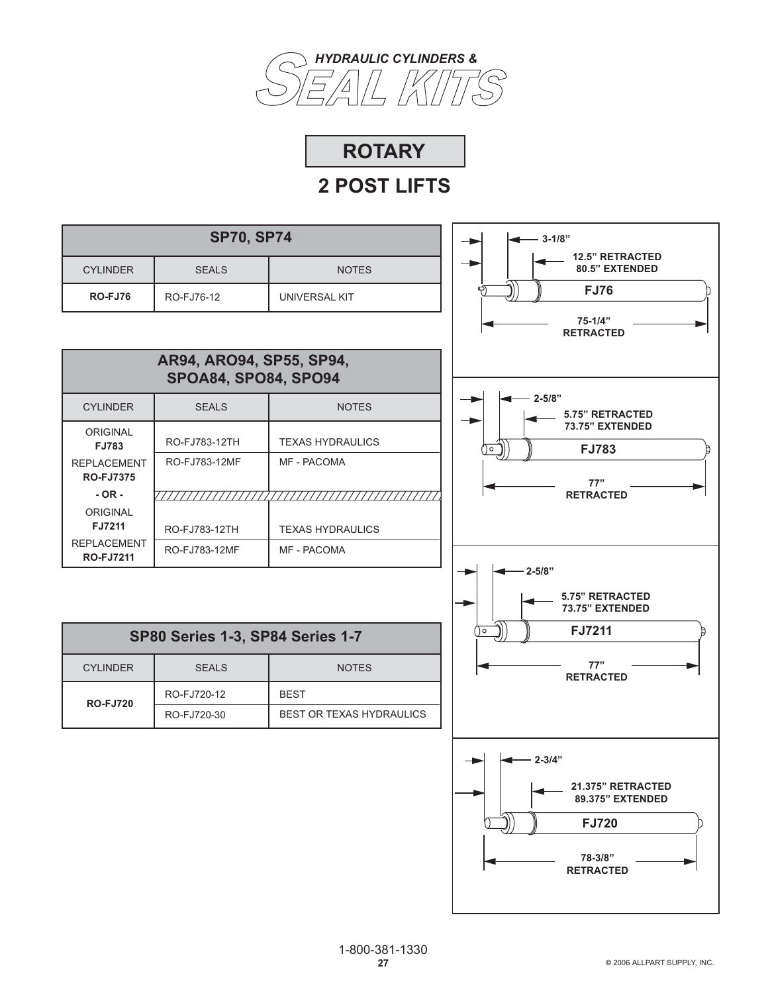

**ROTARY**

| <b>SP70, SP74</b>                      |                                                         |                          | $-3-1/8"$                                                                                          |
|----------------------------------------|---------------------------------------------------------|--------------------------|----------------------------------------------------------------------------------------------------|
| <b>CYLINDER</b>                        | <b>SEALS</b>                                            | <b>NOTES</b>             | <b>12.5" RETRACTED</b><br>80.5" EXTENDED                                                           |
| <b>RO-FJ76</b>                         | RO-FJ76-12                                              | <b>UNIVERSAL KIT</b>     | <b>FJ76</b>                                                                                        |
|                                        |                                                         |                          | 75-1/4"<br><b>RETRACTED</b>                                                                        |
|                                        | AR94, ARO94, SP55, SP94,<br><b>SPOA84, SPO84, SPO94</b> |                          |                                                                                                    |
| <b>CYLINDER</b>                        | <b>SEALS</b>                                            | <b>NOTES</b>             | $2 - 5/8"$<br>5.75" RETRACTED                                                                      |
| ORIGINAL<br><b>FJ783</b>               | RO-FJ783-12TH                                           | <b>TEXAS HYDRAULICS</b>  | 73.75" EXTENDED<br><b>FJ783</b><br>)၀                                                              |
| <b>REPLACEMENT</b><br><b>RO-FJ7375</b> | RO-FJ783-12MF                                           | MF - PACOMA              | 77"                                                                                                |
| $-OR -$                                |                                                         |                          | <b>RETRACTED</b>                                                                                   |
| ORIGINAL<br>FJ7211                     | RO-FJ783-12TH                                           | <b>TEXAS HYDRAULICS</b>  |                                                                                                    |
| <b>REPLACEMENT</b><br><b>RO-FJ7211</b> | RO-FJ783-12MF                                           | MF - PACOMA              |                                                                                                    |
|                                        |                                                         |                          | $2 - 5/8"$<br>5.75" RETRACTED<br>73.75" EXTENDED                                                   |
|                                        | <b>SP80 Series 1-3, SP84 Series 1-7</b>                 |                          | FJ7211<br>') o                                                                                     |
| <b>CYLINDER</b>                        | <b>SEALS</b>                                            | <b>NOTES</b>             | 77"<br><b>RETRACTED</b>                                                                            |
| <b>RO-FJ720</b>                        | RO-FJ720-12                                             | <b>BEST</b>              |                                                                                                    |
|                                        | RO-FJ720-30                                             | BEST OR TEXAS HYDRAULICS |                                                                                                    |
|                                        |                                                         |                          | $2 - 3/4"$<br>21.375" RETRACTED<br>89.375" EXTENDED<br><b>FJ720</b><br>78-3/8"<br><b>RETRACTED</b> |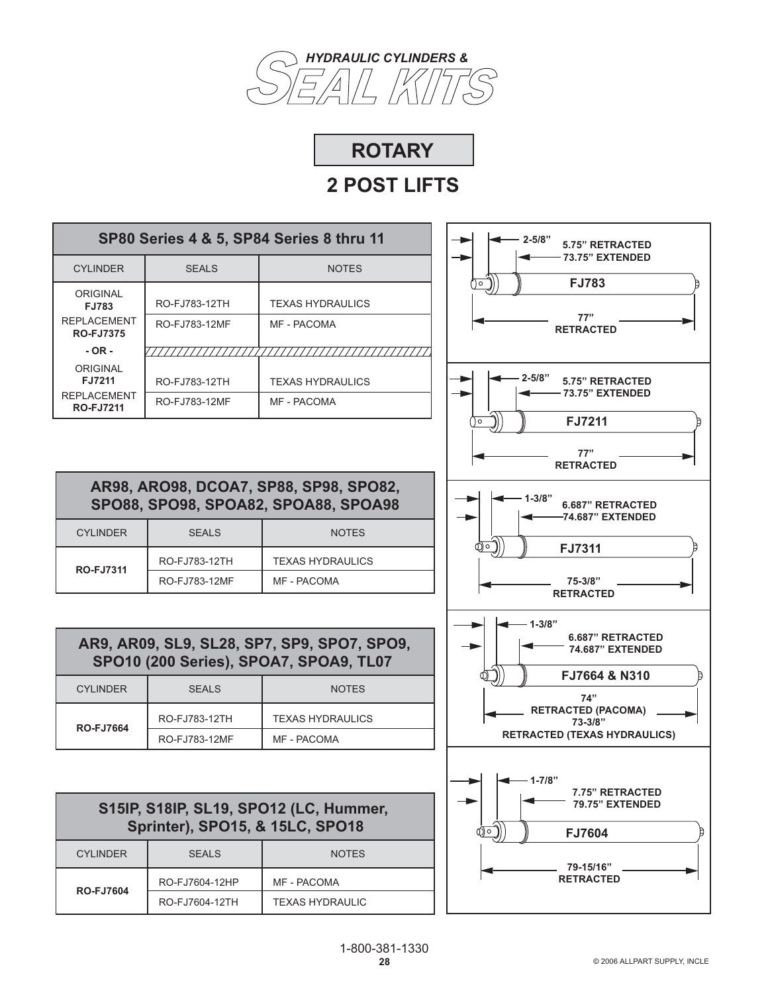



| SP80 Series 4 & 5, SP84 Series 8 thru 11 |               |                         |  |
|------------------------------------------|---------------|-------------------------|--|
| <b>CYLINDER</b>                          | <b>SEALS</b>  | <b>NOTES</b>            |  |
| <b>ORIGINAL</b><br>FJ783                 | RO-FJ783-12TH | <b>TEXAS HYDRAULICS</b> |  |
| <b>REPLACEMENT</b><br><b>RO-FJ7375</b>   | RO-FJ783-12MF | MF - PACOMA             |  |
| $-OR -$                                  |               |                         |  |
| ORIGINAL<br>FJ7211                       | RO-FJ783-12TH | <b>TEXAS HYDRAULICS</b> |  |
| <b>REPI ACEMENT</b><br><b>RO-FJ7211</b>  | RO-FJ783-12MF | <b>MF - PACOMA</b>      |  |



**AR98, ARO98, DCOA7, SP88, SP98, SPO82, SPO88, SPO98, SPOA82, SPOA88, SPOA98**

|  | <b>CYLINDER</b>  | SFALS         | <b>NOTES</b>            |
|--|------------------|---------------|-------------------------|
|  | <b>RO-FJ7311</b> | RO-FJ783-12TH | <b>TEXAS HYDRAULICS</b> |
|  |                  | RO-FJ783-12MF | MF - PACOMA             |

| AR9, AR09, SL9, SL28, SP7, SP9, SPO7, SPO9,<br>SPO10 (200 Series), SPOA7, SPOA9, TL07 |               |                         |
|---------------------------------------------------------------------------------------|---------------|-------------------------|
| <b>CYLINDER</b>                                                                       | <b>SEALS</b>  | <b>NOTES</b>            |
| <b>RO-FJ7664</b>                                                                      | RO-FJ783-12TH | <b>TEXAS HYDRAULICS</b> |
|                                                                                       | RO-FJ783-12MF | MF - PACOMA             |

| S15IP, S18IP, SL19, SPO12 (LC, Hummer,<br><b>Sprinter), SPO15, &amp; 15LC, SPO18</b> |                |                        |
|--------------------------------------------------------------------------------------|----------------|------------------------|
| <b>CYLINDER</b>                                                                      | <b>SEALS</b>   | <b>NOTES</b>           |
| <b>RO-FJ7604</b>                                                                     | RO-FJ7604-12HP | <b>MF - PACOMA</b>     |
|                                                                                      | RO-FJ7604-12TH | <b>TEXAS HYDRAULIC</b> |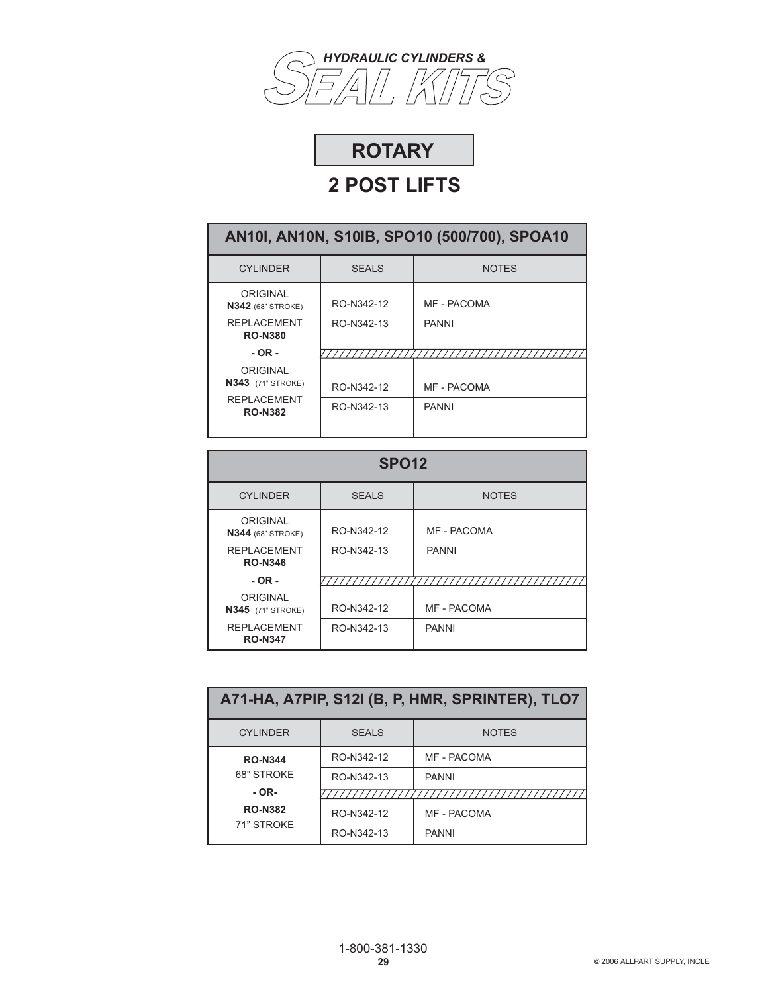



| AN101, AN10N, S10IB, SPO10 (500/700), SPOA10 |              |              |  |
|----------------------------------------------|--------------|--------------|--|
| <b>CYLINDER</b>                              | <b>SEALS</b> | <b>NOTES</b> |  |
| ORIGINAL<br><b>N342</b> (68" STROKE)         | RO-N342-12   | MF - PACOMA  |  |
| <b>REPLACEMENT</b><br><b>RO-N380</b>         | RO-N342-13   | <b>PANNI</b> |  |
| $-OR -$                                      |              |              |  |
| ORIGINAL<br><b>N343</b> (71" STROKE)         | RO-N342-12   | MF - PACOMA  |  |
| <b>REPLACEMENT</b><br><b>RO-N382</b>         | RO-N342-13   | <b>PANNI</b> |  |

| <b>SPO12</b>                         |              |                    |
|--------------------------------------|--------------|--------------------|
| <b>CYLINDER</b>                      | <b>SEALS</b> | <b>NOTES</b>       |
| ORIGINAL<br><b>N344 (68" STROKE)</b> | RO-N342-12   | MF - PACOMA        |
| <b>REPLACEMENT</b><br><b>RO-N346</b> | RO-N342-13   | <b>PANNI</b>       |
| $-$ OR $-$                           |              |                    |
| ORIGINAL<br><b>N345</b> (71" STROKE) | RO-N342-12   | <b>MF - PACOMA</b> |
| <b>REPLACEMENT</b><br><b>RO-N347</b> | RO-N342-13   | <b>PANNI</b>       |

| A71-HA, A7PIP, S12I (B, P, HMR, SPRINTER), TLO7 |                              |              |  |  |
|-------------------------------------------------|------------------------------|--------------|--|--|
| <b>CYLINDER</b>                                 | <b>NOTES</b><br><b>SEALS</b> |              |  |  |
| <b>RO-N344</b>                                  | RO-N342-12                   | MF - PACOMA  |  |  |
| 68" STROKE                                      | RO-N342-13                   | <b>PANNI</b> |  |  |
| $-OR-$                                          |                              |              |  |  |
| <b>RO-N382</b><br>71" STROKE                    | RO-N342-12                   | MF - PACOMA  |  |  |
|                                                 | RO-N342-13                   | <b>PANNI</b> |  |  |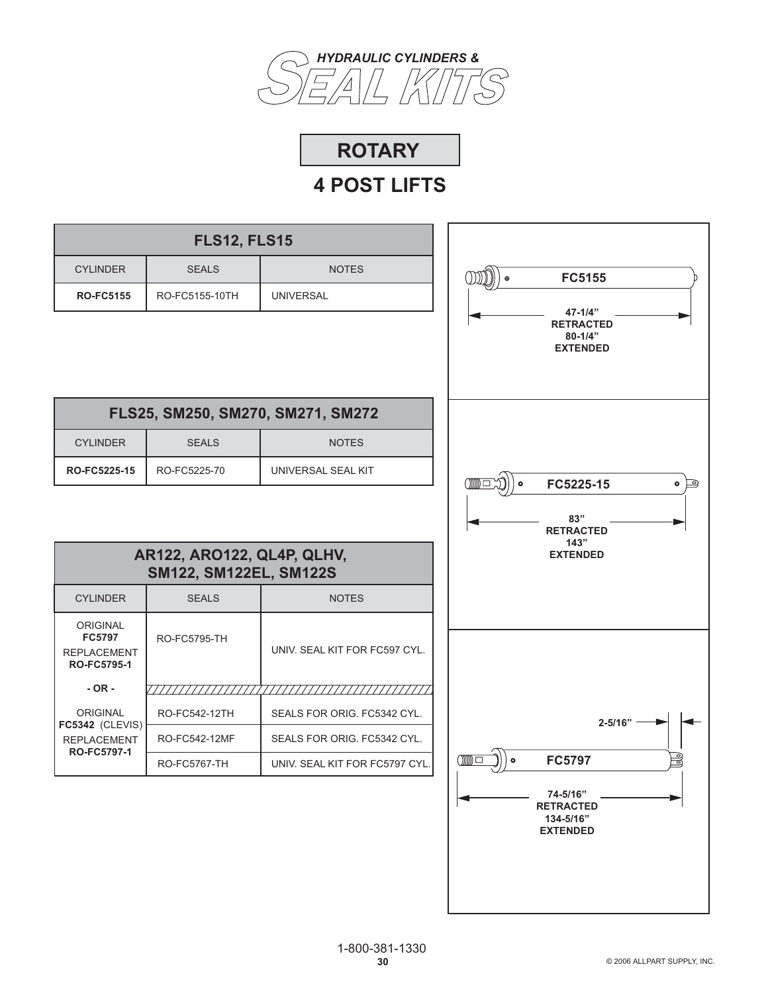



| <b>NOTES</b>                                         |
|------------------------------------------------------|
| <b>UNIVERSAL</b>                                     |
|                                                      |
| FLS25, SM250, SM270, SM271, SM272                    |
| <b>NOTES</b>                                         |
| UNIVERSAL SEAL KIT                                   |
| AR122, ARO122, QL4P, QLHV,<br>SM122, SM122EL, SM122S |
| <b>NOTES</b>                                         |
| UNIV. SEAL KIT FOR FC597 CYL.                        |
|                                                      |
| SEALS FOR ORIG. FC5342 CYL.                          |
|                                                      |
| SEALS FOR ORIG. FC5342 CYL.                          |
| UNIV. SEAL KIT FOR FC5797 CYL.                       |
|                                                      |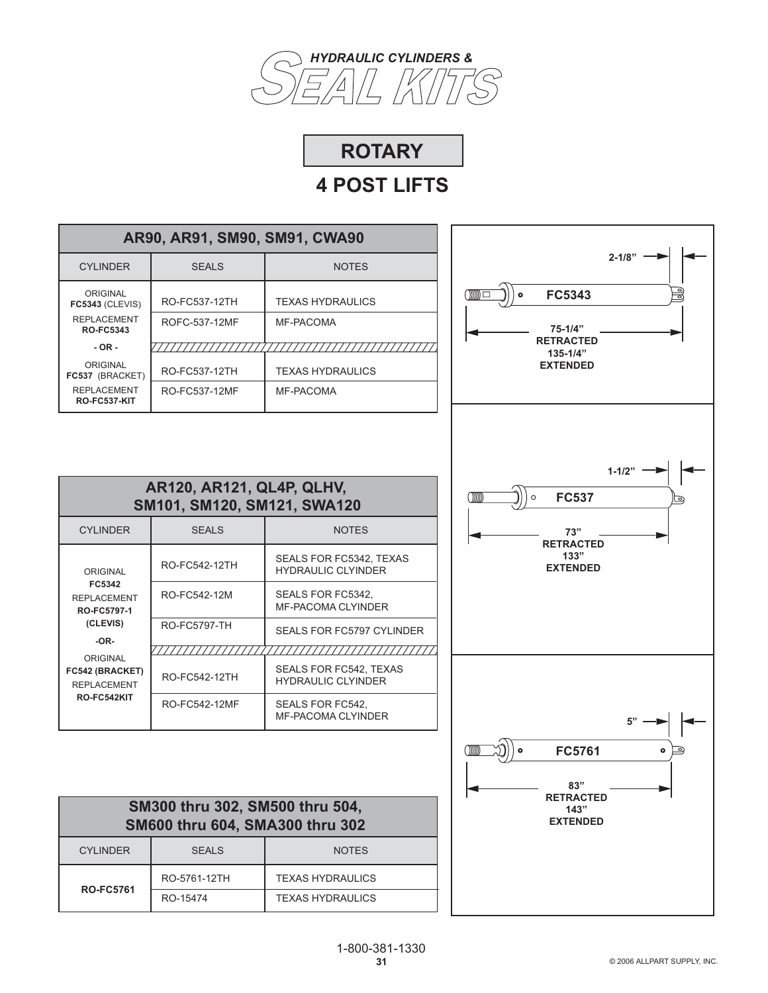

# **ROTARY**

| AR90, AR91, SM90, SM91, CWA90             |               |                         |
|-------------------------------------------|---------------|-------------------------|
| <b>CYLINDER</b>                           | <b>SEALS</b>  | <b>NOTES</b>            |
| ORIGINAL<br><b>FC5343 (CLEVIS)</b>        | RO-FC537-12TH | <b>TEXAS HYDRAULICS</b> |
| <b>REPLACEMENT</b><br><b>RO-FC5343</b>    | ROFC-537-12MF | MF-PACOMA               |
| $-OR -$                                   |               |                         |
| ORIGINAL<br>FC537 (BRACKET)               | RO-FC537-12TH | <b>TEXAS HYDRAULICS</b> |
| <b>REPLACEMENT</b><br><b>RO-FC537-KIT</b> | RO-FC537-12MF | MF-PACOMA               |



| AR120, AR121, QL4P, QLHV,<br>SM101, SM120, SM121, SWA120                                                                              |                     |                                                            |
|---------------------------------------------------------------------------------------------------------------------------------------|---------------------|------------------------------------------------------------|
| <b>CYLINDER</b>                                                                                                                       | <b>SEALS</b>        | <b>NOTES</b>                                               |
| ORIGINAL                                                                                                                              | RO-FC542-12TH       | SEALS FOR FC5342. TEXAS<br><b>HYDRAULIC CLYINDER</b>       |
| FC5342<br><b>REPLACEMENT</b><br>RO-FC5797-1<br>(CLEVIS)<br>$-OR-$<br>ORIGINAL<br>FC542 (BRACKET)<br><b>REPLACEMENT</b><br>RO-FC542KIT | RO-FC542-12M        | SEALS FOR FC5342.<br><b>MF-PACOMA CLYINDER</b>             |
|                                                                                                                                       | <b>RO-FC5797-TH</b> | <b>SEALS FOR FC5797 CYLINDER</b>                           |
|                                                                                                                                       | RO-FC542-12TH       | <b>SEALS FOR FC542, TEXAS</b><br><b>HYDRAULIC CLYINDER</b> |
|                                                                                                                                       | RO-FC542-12MF       | SEALS FOR FC542.<br><b>MF-PACOMA CLYINDER</b>              |

| SM300 thru 302, SM500 thru 504,<br>SM600 thru 604, SMA300 thru 302 |              |                         |
|--------------------------------------------------------------------|--------------|-------------------------|
| <b>CYLINDER</b>                                                    | <b>SEALS</b> | <b>NOTES</b>            |
| <b>RO-FC5761</b>                                                   | RO-5761-12TH | <b>TEXAS HYDRAULICS</b> |
|                                                                    | RO-15474     | <b>TEXAS HYDRAULICS</b> |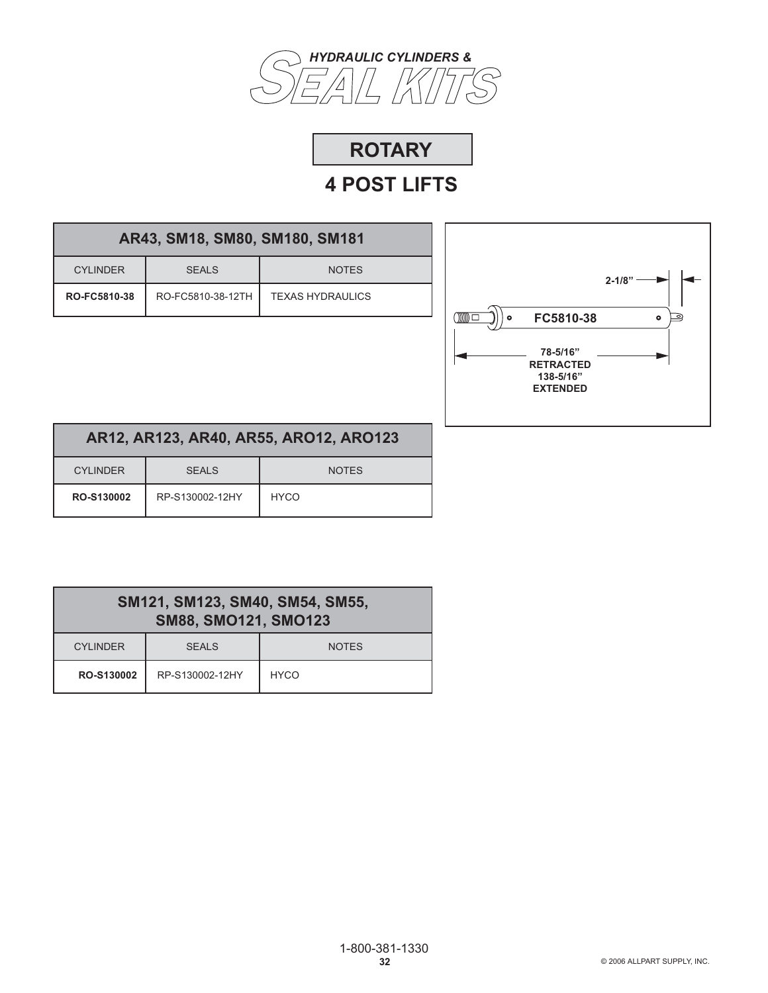



|  |  |  | AR43, SM18, SM80, SM180, SM181 |  |
|--|--|--|--------------------------------|--|
|--|--|--|--------------------------------|--|

| CYI INDER    | <b>SEALS</b>      | <b>NOTES</b>            |
|--------------|-------------------|-------------------------|
| RO-FC5810-38 | RO-FC5810-38-12TH | <b>TEXAS HYDRAULICS</b> |



| AR12, AR123, AR40, AR55, AR012, AR0123 |
|----------------------------------------|
|----------------------------------------|

| <b>CYLINDER</b> | <b>SEALS</b>    | <b>NOTES</b> |
|-----------------|-----------------|--------------|
| RO-S130002      | RP-S130002-12HY | <b>HYCO</b>  |

| SM121, SM123, SM40, SM54, SM55,<br><b>SM88, SMO121, SMO123</b> |                 |              |
|----------------------------------------------------------------|-----------------|--------------|
| <b>CYLINDER</b>                                                | SFALS           | <b>NOTES</b> |
| RO-S130002                                                     | RP-S130002-12HY | <b>HYCO</b>  |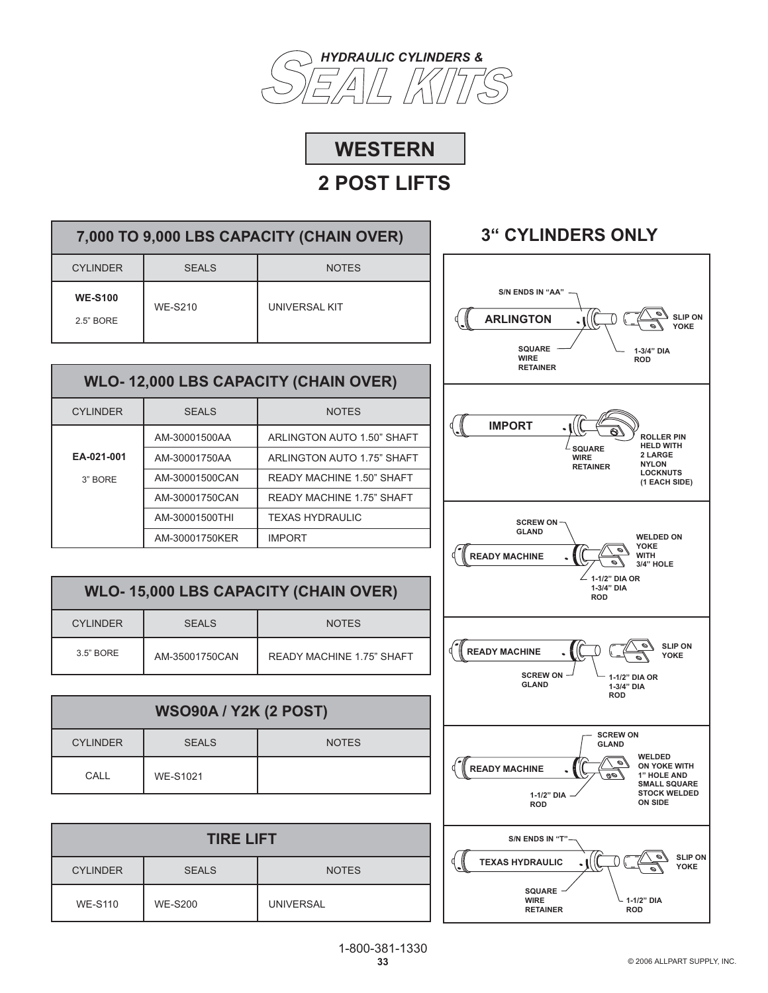

# **WESTERN**

# **2 POST LIFTS**

| 7,000 TO 9,000 LBS CAPACITY (CHAIN OVER) |                |               |  |  |
|------------------------------------------|----------------|---------------|--|--|
| CYI INDER                                | SFALS          | <b>NOTES</b>  |  |  |
| <b>WE-S100</b><br>2.5" BORE              | <b>WF-S210</b> | UNIVERSAL KIT |  |  |

### **WLO- 12,000 LBS CAPACITY (CHAIN OVER)**

| <b>CYLINDER</b> | <b>SEALS</b>   | <b>NOTES</b>                     |  |
|-----------------|----------------|----------------------------------|--|
|                 | AM-30001500AA  | ARLINGTON AUTO 1.50" SHAFT       |  |
| EA-021-001      | AM-30001750AA  | ARLINGTON AUTO 1.75" SHAFT       |  |
| 3" BORF         | AM-30001500CAN | <b>READY MACHINE 1.50" SHAFT</b> |  |
|                 | AM-30001750CAN | <b>READY MACHINE 1.75" SHAFT</b> |  |
|                 | AM-30001500THI | <b>TEXAS HYDRAULIC</b>           |  |
|                 | AM-30001750KER | <b>IMPORT</b>                    |  |

| <b>WLO-15,000 LBS CAPACITY (CHAIN OVER)</b> |                |                                  |  |
|---------------------------------------------|----------------|----------------------------------|--|
| <b>CYLINDER</b>                             | <b>SEALS</b>   | <b>NOTES</b>                     |  |
| 3.5" BORE                                   | AM-35001750CAN | <b>READY MACHINE 1.75" SHAFT</b> |  |

| <b>WSO90A / Y2K (2 POST)</b> |                 |              |  |
|------------------------------|-----------------|--------------|--|
| <b>CYLINDER</b>              | <b>SEALS</b>    | <b>NOTES</b> |  |
| CALL                         | <b>WE-S1021</b> |              |  |

| <b>TIRE LIFT</b> |                |                  |  |
|------------------|----------------|------------------|--|
| <b>CYLINDER</b>  | <b>SEALS</b>   | <b>NOTES</b>     |  |
| <b>WE-S110</b>   | <b>WE-S200</b> | <b>UNIVERSAL</b> |  |

# **3" CYLINDERS ONLY**

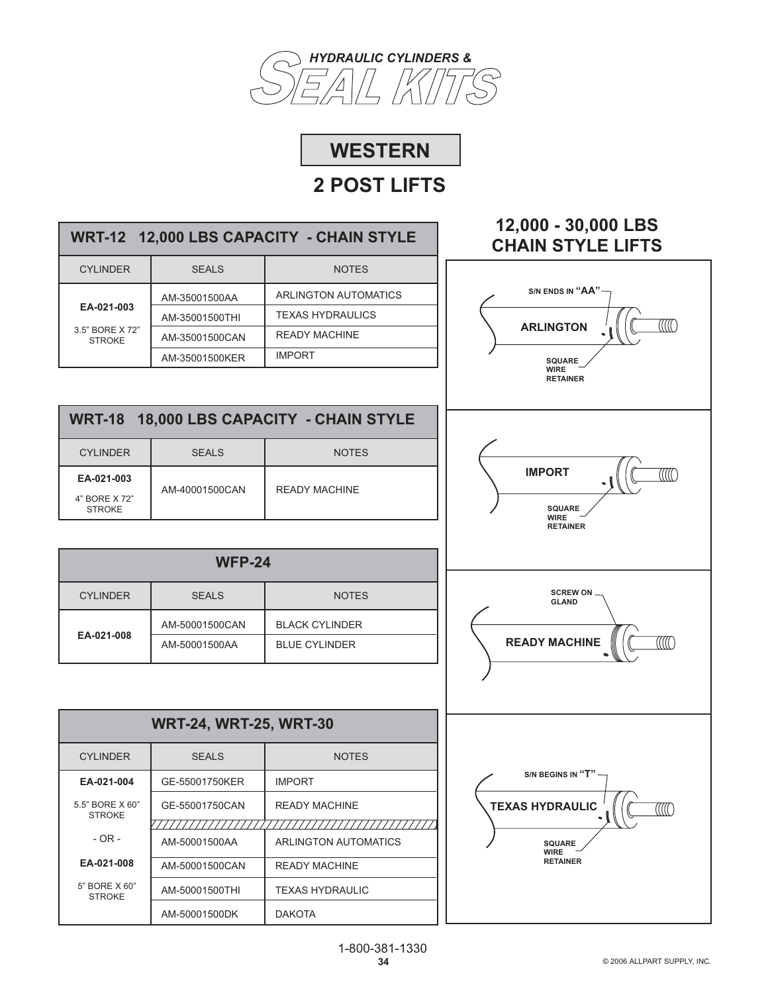



| WRT-12 12,000 LBS CAPACITY - CHAIN STYLE       |                |                         |  |
|------------------------------------------------|----------------|-------------------------|--|
| <b>CYLINDER</b>                                | <b>SEALS</b>   | <b>NOTES</b>            |  |
|                                                | AM-35001500AA  | ARLINGTON AUTOMATICS    |  |
| EA-021-003<br>3.5" BORF X 72"<br><b>STROKE</b> | AM-35001500THI | <b>TEXAS HYDRAULICS</b> |  |
|                                                | AM-35001500CAN | <b>READY MACHINE</b>    |  |
|                                                | AM-35001500KER | <b>IMPORT</b>           |  |
|                                                |                |                         |  |

| WRT-18 18,000 LBS CAPACITY - CHAIN STYLE     |                |               |  |  |
|----------------------------------------------|----------------|---------------|--|--|
| <b>CYLINDER</b>                              | SFALS          | <b>NOTES</b>  |  |  |
| EA-021-003<br>4" BORE X 72"<br><b>STROKE</b> | AM-40001500CAN | READY MACHINE |  |  |

| <b>WFP-24</b>                                   |                |                       |  |  |
|-------------------------------------------------|----------------|-----------------------|--|--|
| <b>CYLINDER</b><br><b>SEALS</b><br><b>NOTES</b> |                |                       |  |  |
| EA-021-008                                      | AM-50001500CAN | <b>BLACK CYLINDER</b> |  |  |
|                                                 | AM-50001500AA  | <b>BLUE CYLINDER</b>  |  |  |

| <b>WRT-24, WRT-25, WRT-30</b>    |                |                        |  |
|----------------------------------|----------------|------------------------|--|
| <b>CYLINDER</b>                  | <b>SEALS</b>   | <b>NOTES</b>           |  |
| EA-021-004                       | GE-55001750KER | <b>IMPORT</b>          |  |
| 5.5" BORE X 60"<br><b>STROKE</b> | GE-55001750CAN | <b>READY MACHINE</b>   |  |
| $-$ OR $-$                       | AM-50001500AA  | ARLINGTON AUTOMATICS   |  |
| EA-021-008                       | AM-50001500CAN | <b>READY MACHINE</b>   |  |
| 5" BORE X 60"<br><b>STROKE</b>   | AM-50001500THI | <b>TEXAS HYDRAULIC</b> |  |
|                                  | AM-50001500DK  | <b>DAKOTA</b>          |  |

### **12,000 - 30,000 LBS CHAIN STYLE LIFTS**

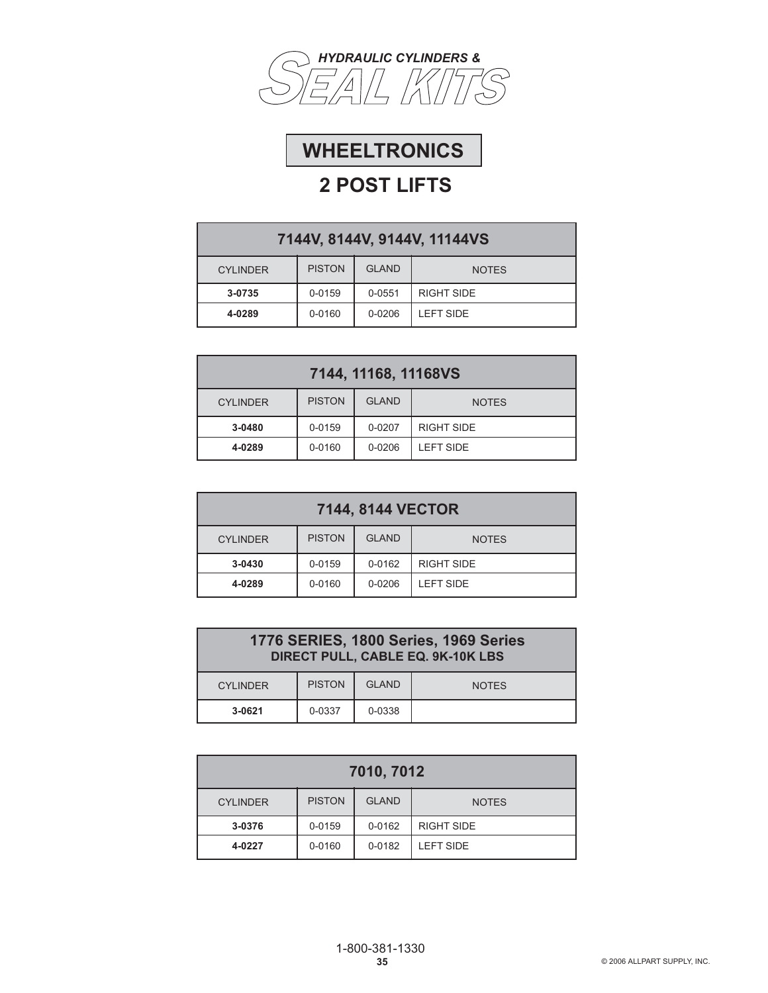



| 7144V, 8144V, 9144V, 11144VS |               |              |                   |
|------------------------------|---------------|--------------|-------------------|
| <b>CYLINDER</b>              | <b>PISTON</b> | <b>GLAND</b> | <b>NOTES</b>      |
| 3-0735                       | 0-0159        | $0 - 0.551$  | <b>RIGHT SIDE</b> |
| 4-0289                       | 0-0160        | $0 - 0206$   | <b>I FFT SIDE</b> |

| 7144, 11168, 11168VS |               |              |                   |
|----------------------|---------------|--------------|-------------------|
| <b>CYLINDER</b>      | <b>PISTON</b> | <b>GLAND</b> | <b>NOTES</b>      |
| 3-0480               | 0-0159        | 0-0207       | <b>RIGHT SIDE</b> |
| 4-0289               | 0-0160        | $0 - 0206$   | <b>LEFT SIDE</b>  |

| 7144, 8144 VECTOR |               |              |                   |
|-------------------|---------------|--------------|-------------------|
| <b>CYLINDER</b>   | <b>PISTON</b> | <b>GLAND</b> | <b>NOTES</b>      |
| 3-0430            | 0-0159        | 0-0162       | <b>RIGHT SIDE</b> |
| 4-0289            | 0-0160        | $0 - 0206$   | <b>LEFT SIDE</b>  |

| 1776 SERIES, 1800 Series, 1969 Series<br>DIRECT PULL, CABLE EQ. 9K-10K LBS |  |  |  |  |  |
|----------------------------------------------------------------------------|--|--|--|--|--|
| <b>PISTON</b><br><b>GLAND</b><br><b>CYLINDER</b><br><b>NOTES</b>           |  |  |  |  |  |
| 0-0338<br>3-0621<br>0-0337                                                 |  |  |  |  |  |

| 7010, 7012                                                       |  |  |  |  |  |
|------------------------------------------------------------------|--|--|--|--|--|
| <b>PISTON</b><br><b>GLAND</b><br><b>CYLINDER</b><br><b>NOTES</b> |  |  |  |  |  |
| <b>RIGHT SIDE</b><br>0-0159<br>0-0162<br>3-0376                  |  |  |  |  |  |
| 0-0160<br>0-0182<br><b>LEFT SIDE</b><br>4-0227                   |  |  |  |  |  |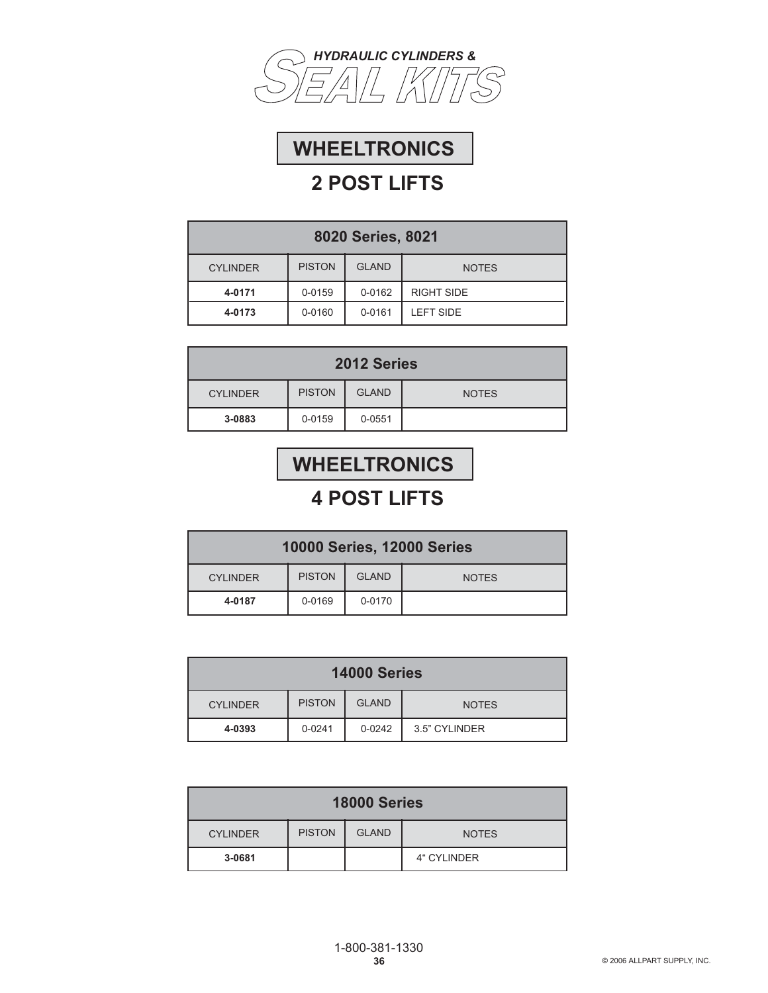



| 8020 Series, 8021                                                |        |        |                   |
|------------------------------------------------------------------|--------|--------|-------------------|
| <b>PISTON</b><br><b>GLAND</b><br><b>CYLINDER</b><br><b>NOTES</b> |        |        |                   |
| 4-0171                                                           | 0-0159 | 0-0162 | <b>RIGHT SIDE</b> |
| 4-0173                                                           | 0-0160 | 0-0161 | <b>LEFT SIDE</b>  |

| 2012 Series                    |               |              |  |  |
|--------------------------------|---------------|--------------|--|--|
| <b>CYLINDER</b>                | <b>PISTON</b> | <b>NOTES</b> |  |  |
| $0 - 0159$<br>3-0883<br>0-0551 |               |              |  |  |

# **WHEELTRONICS**

| <b>10000 Series, 12000 Series</b>                                |  |  |  |  |  |
|------------------------------------------------------------------|--|--|--|--|--|
| <b>PISTON</b><br><b>GLAND</b><br><b>CYLINDER</b><br><b>NOTES</b> |  |  |  |  |  |
| 0-0169<br>0-0170<br>4-0187                                       |  |  |  |  |  |

| 14000 Series    |               |              |               |
|-----------------|---------------|--------------|---------------|
| <b>CYLINDER</b> | <b>PISTON</b> | <b>GLAND</b> | <b>NOTES</b>  |
| 4-0393          | $0 - 0241$    | $0 - 0242$   | 3.5" CYLINDER |

| <b>18000 Series</b>                                              |  |  |  |  |  |
|------------------------------------------------------------------|--|--|--|--|--|
| <b>PISTON</b><br><b>GLAND</b><br><b>CYLINDER</b><br><b>NOTES</b> |  |  |  |  |  |
| 3-0681<br>4" CYLINDER                                            |  |  |  |  |  |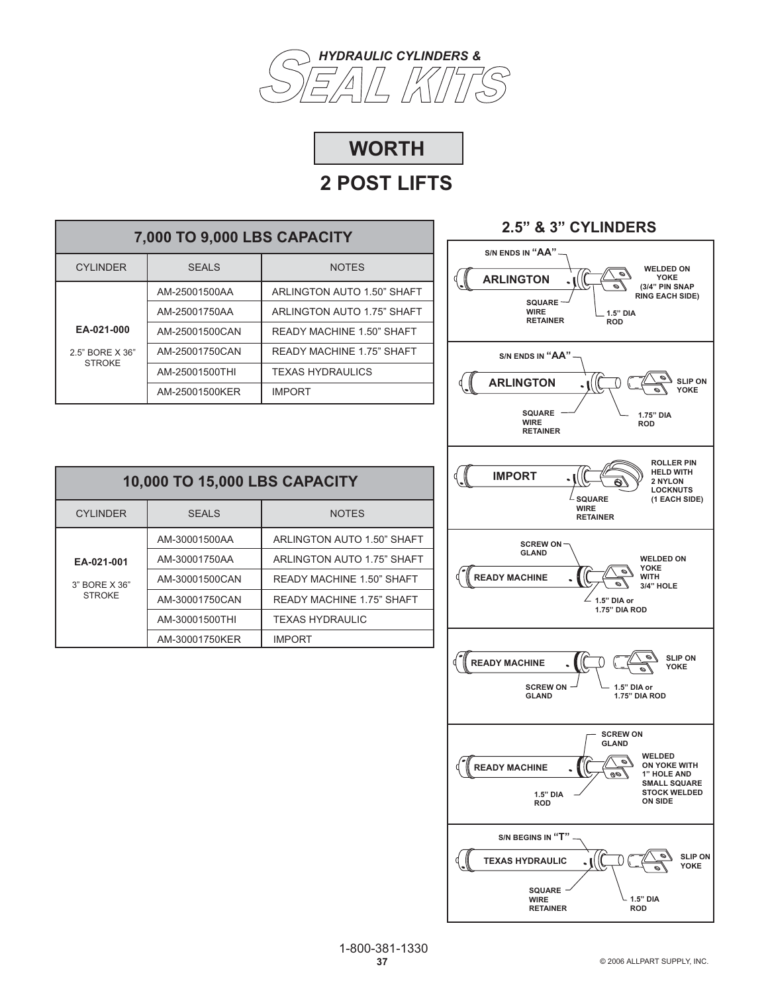



| 7,000 TO 9,000 LBS CAPACITY      |                |                                  |  |
|----------------------------------|----------------|----------------------------------|--|
| <b>CYLINDER</b>                  | SFALS          | <b>NOTES</b>                     |  |
|                                  | AM-25001500AA  | ARLINGTON AUTO 1.50" SHAFT       |  |
|                                  | AM-25001750AA  | ARLINGTON AUTO 1.75" SHAFT       |  |
| EA-021-000                       | AM-25001500CAN | READY MACHINE 1.50" SHAFT        |  |
| 2.5" BORF X 36"<br><b>STROKE</b> | AM-25001750CAN | <b>READY MACHINE 1.75" SHAFT</b> |  |
|                                  | AM-25001500THI | <b>TEXAS HYDRAULICS</b>          |  |
|                                  | AM-25001500KER | <b>IMPORT</b>                    |  |

| 10,000 TO 15,000 LBS CAPACITY  |                |                                  |  |
|--------------------------------|----------------|----------------------------------|--|
| <b>CYLINDER</b>                | <b>SEALS</b>   | <b>NOTES</b>                     |  |
|                                | AM-30001500AA  | ARLINGTON AUTO 1.50" SHAFT       |  |
| EA-021-001                     | AM-30001750AA  | ARLINGTON AUTO 1.75" SHAFT       |  |
| 3" BORE X 36"<br><b>STROKE</b> | AM-30001500CAN | <b>READY MACHINE 1.50" SHAFT</b> |  |
|                                | AM-30001750CAN | <b>READY MACHINE 1.75" SHAFT</b> |  |
|                                | AM-30001500THI | <b>TEXAS HYDRAULIC</b>           |  |
|                                | AM-30001750KER | <b>IMPORT</b>                    |  |

### **2.5" & 3" CYLINDERS**